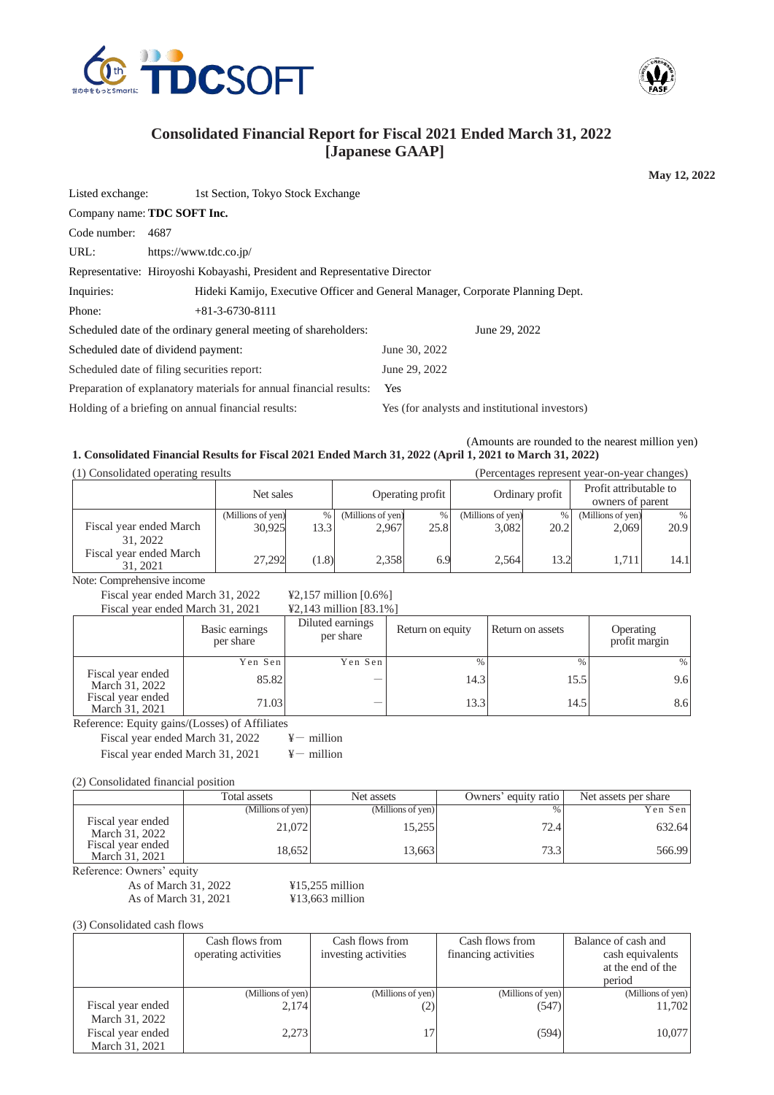

Listed exchange: 1st Section, Tokyo Stock Exchange



**May 12, 2022**

# **Consolidated Financial Report for Fiscal 2021 Ended March 31, 2022 [Japanese GAAP]**

URL: https://www.tdc.co.jp/

Company name: **TDC SOFT Inc.**

Code number: 4687

Representative: Hiroyoshi Kobayashi, President and Representative Director

Inquiries: Hideki Kamijo, Executive Officer and General Manager, Corporate Planning Dept.

Phone: +81-3-6730-8111

Scheduled date of the ordinary general meeting of shareholders: June 29, 2022 Scheduled date of dividend payment: June 30, 2022 Scheduled date of filing securities report: June 29, 2022 Preparation of explanatory materials for annual financial results: Yes Holding of a briefing on annual financial results: Yes (for analysts and institutional investors)

(Amounts are rounded to the nearest million yen) **1. Consolidated Financial Results for Fiscal 2021 Ended March 31, 2022 (April 1, 2021 to March 31, 2022)**

(1) Consolidated operating results (Percentages represent year-on-year changes)

| $(1)$ consolidated operating results |                             |                 | $\alpha$ creenting to represent year on year emails to $\beta$ |           |                            |           |                                            |              |
|--------------------------------------|-----------------------------|-----------------|----------------------------------------------------------------|-----------|----------------------------|-----------|--------------------------------------------|--------------|
|                                      | Net sales                   |                 | Operating profit                                               |           | Ordinary profit            |           | Profit attributable to<br>owners of parent |              |
| Fiscal year ended March<br>31, 2022  | (Millions of yen)<br>30.925 | $\%$ 1<br>13.31 | (Millions of yen)<br>2.967                                     | %<br>25.8 | (Millions of yen)<br>3,082 | %<br>20.2 | (Millions of yen)<br>2.069                 | $\%$<br>20.9 |
| Fiscal year ended March<br>31, 2021  | 27.292                      | (1.8)           | 2,358                                                          | 6.9       | 2.564                      | 13.2      | 1.711                                      | 14.1         |

Note: Comprehensive income

Fiscal year ended March 31, 2022  $\qquad \text{42,157 million}$  [0.6%] Fiscal year ended March 31, 2021  $\qquad$  ¥2, 143 million [83, 1%]

| $1$ iscar year effect ividicil $31,2021$ |                             | $\pm 2,1 \pm 7$ minimum 100.170 |      |                                      |      |
|------------------------------------------|-----------------------------|---------------------------------|------|--------------------------------------|------|
|                                          | Basic earnings<br>per share | Diluted earnings<br>per share   |      | Return on assets<br>Return on equity |      |
|                                          | Yen Senl                    | Yen Sen                         | $\%$ |                                      | %    |
| Fiscal year ended<br>March 31, 2022      | 85.82                       |                                 | 14.3 | 15.5                                 | 9.61 |
| Fiscal year ended<br>March 31, 2021      | 71.03                       |                                 | 13.3 | 14.5                                 | 8.6  |

Reference: Equity gains/(Losses) of Affiliates

Fiscal year ended March 31, 2022  $\qquad \qquad \text{4}-$  million Fiscal year ended March 31, 2021  $\qquad \qquad \text{4}-$  million

(2) Consolidated financial position

|                                     | Total assets      | Net assets        | Owners' equity ratio | Net assets per share |
|-------------------------------------|-------------------|-------------------|----------------------|----------------------|
|                                     | (Millions of yen) | (Millions of yen) | $\frac{0}{0}$        | Yen Sen              |
| Fiscal year ended<br>March 31, 2022 | 21.072            | 15,255            | 72.4                 | 632.64               |
| Fiscal year ended<br>March 31, 2021 | 18.652            | 13,663            | 73.3                 | 566.99               |

Reference: Owners' equity

As of March 31, 2022 <br>
As of March 31, 2021 <br>
413,663 million As of March 31, 2021

(3) Consolidated cash flows

|                   | Cash flows from      | Cash flows from      | Cash flows from      | Balance of cash and |
|-------------------|----------------------|----------------------|----------------------|---------------------|
|                   | operating activities | investing activities | financing activities | cash equivalents    |
|                   |                      |                      |                      | at the end of the   |
|                   |                      |                      |                      | period              |
|                   | (Millions of yen)    | (Millions of yen)    | (Millions of yen)    | (Millions of yen)   |
| Fiscal year ended | 2,174                | (2)                  | (547)                | 11,702              |
| March 31, 2022    |                      |                      |                      |                     |
| Fiscal year ended | 2,273                |                      | (594)                | 10,077              |
| March 31, 2021    |                      |                      |                      |                     |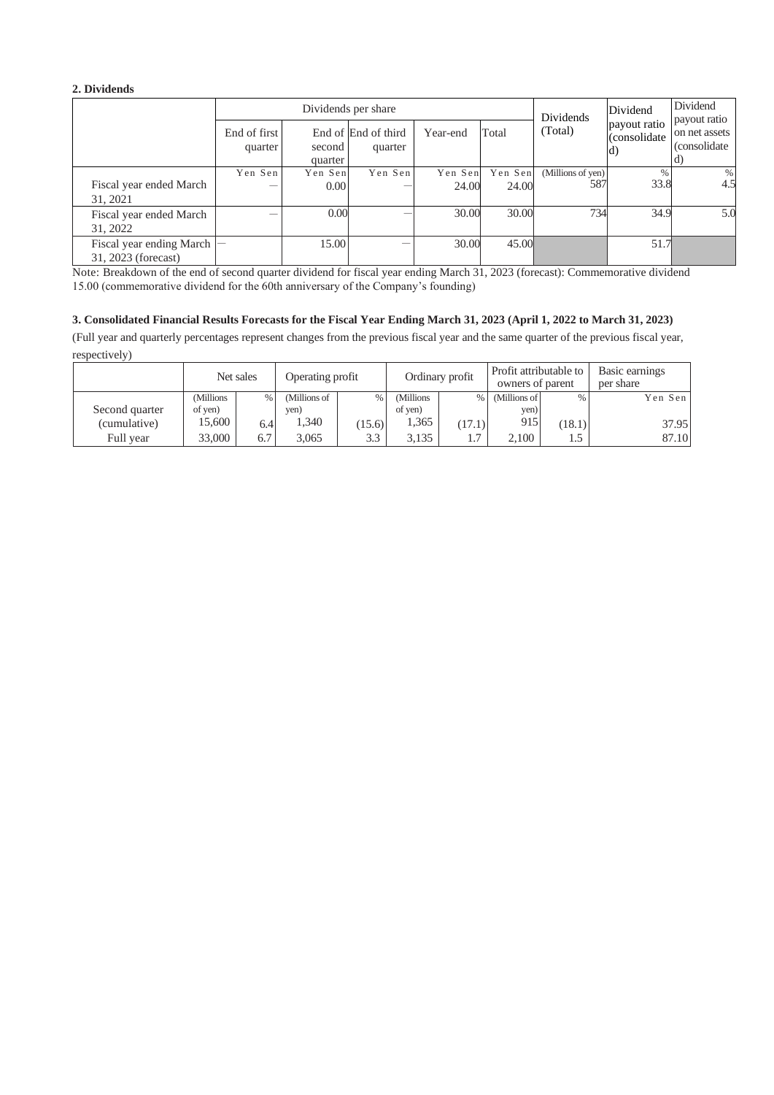#### **2. Dividends**

|                                                 |                         | Dividends per share |                                |                  |                  |                          | Dividend                           | Dividend<br>payout ratio              |  |
|-------------------------------------------------|-------------------------|---------------------|--------------------------------|------------------|------------------|--------------------------|------------------------------------|---------------------------------------|--|
|                                                 | End of first<br>quarter | second<br>quarter   | End of End of third<br>quarter | Year-end         | Total            | Dividends<br>(Total)     | payout ratio<br>(consolidate<br>d) | on net assets<br>(consolidate)<br>(d) |  |
| Fiscal year ended March<br>31, 2021             | Yen Sen                 | Yen Sen<br>0.00     | Yen Sen                        | Yen Sen<br>24.00 | Yen Sen<br>24.00 | (Millions of yen)<br>587 | %<br>33.8                          | %<br>4.5                              |  |
| Fiscal year ended March<br>31, 2022             |                         | 0.00                |                                | 30.00            | 30.00            | 734                      | 34.9                               | 5.0                                   |  |
| Fiscal year ending March<br>31, 2023 (forecast) |                         | 15.00               |                                | 30.00            | 45.00            |                          | 51.7                               |                                       |  |

Note: Breakdown of the end of second quarter dividend for fiscal year ending March 31, 2023 (forecast): Commemorative dividend 15.00 (commemorative dividend for the 60th anniversary of the Company's founding)

#### **3. Consolidated Financial Results Forecasts for the Fiscal Year Ending March 31, 2023 (April 1, 2022 to March 31, 2023)**

(Full year and quarterly percentages represent changes from the previous fiscal year and the same quarter of the previous fiscal year, respectively)

|                |           | Net sales | Operating profit |        | Ordinary profit |        | Profit attributable to<br>owners of parent |        | Basic earnings<br>per share |  |
|----------------|-----------|-----------|------------------|--------|-----------------|--------|--------------------------------------------|--------|-----------------------------|--|
|                | (Millions | %         | (Millions of     | %      | (Millions       |        | % (Millions of                             | %      | Yen Sen                     |  |
| Second quarter | of yen)   |           | yen)             |        | of yen)         |        | yen)                                       |        |                             |  |
| (cumulative)   | 15.600    | 6.4       | 1,340            | (15.6) | 1,365           | (17.1) | 915                                        | (18.1) | 37.95                       |  |
| Full year      | 33,000    | 6.7       | 3.065            | 3.3    | 3.135           | 1.7    | 2.100                                      |        | 87.10                       |  |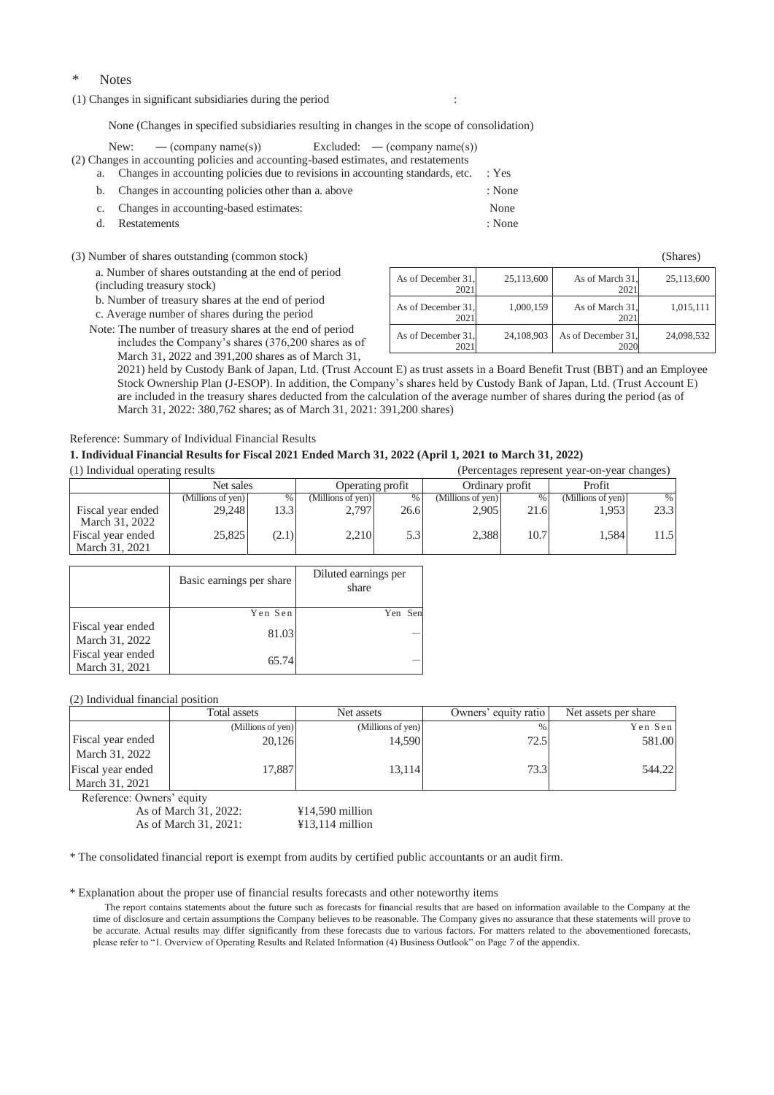#### Notes

(1) Changes in significant subsidiaries during the period :

None (Changes in specified subsidiaries resulting in changes in the scope of consolidation)

|  | New: $-$ (company name(s)) Excluded: $-$ (company name(s))                             |  |        |
|--|----------------------------------------------------------------------------------------|--|--------|
|  | (2) Changes in accounting policies and accounting-based estimates, and restatements    |  |        |
|  | a. Changes in accounting policies due to revisions in accounting standards, etc. : Yes |  |        |
|  | b. Changes in accounting policies other than a above                                   |  | : None |
|  | c. Changes in accounting-based estimates:                                              |  | None   |
|  | d. Restatements                                                                        |  | : None |

(3) Number of shares outstanding (common stock)

a. Number of shares outstanding at the end of period (including treasury stock)

b. Number of treasury shares at the end of period

c. Average number of shares during the period

Note: The number of treasury shares at the end of period includes the Company's shares (376,200 shares as of March 31, 2022 and 391,200 shares as of March 31,

2021) held by Custody Bank of Japan, Ltd. (Trust Account E) as trust assets in a Board Benefit Trust (BBT) and an Employee 2021 2021 As of December 31 2021 24,108,903 As of December 31 2020 24,098,532

202

25,113,600 As of March 31

1,000,159 As of March 31,

202

Stock Ownership Plan (J-ESOP). In addition, the Company's shares held by Custody Bank of Japan, Ltd. (Trust Account E) are included in the treasury shares deducted from the calculation of the average number of shares during the period (as of March 31, 2022: 380,762 shares; as of March 31, 2021: 391,200 shares)

As of December 31

As of December 31,

#### Reference: Summary of Individual Financial Results

### **1. Individual Financial Results for Fiscal 2021 Ended March 31, 2022 (April 1, 2021 to March 31, 2022)**

(1) Individual operating results (Percentages represent year-on-year changes) Net sales Deperating profit Ordinary profit Profit (Millions of yen)  $\begin{array}{|c|c|c|c|c|c|}\n\hline\n\end{array}$  (Millions of yen)  $\begin{array}{|c|c|c|c|c|}\n\hline\n\end{array}$  (Millions of yen)  $\begin{array}{|c|c|c|c|c|}\n\hline\n\end{array}$  (Millions of yen) Fiscal year ended March 31, 2022 29,248 13.3 2,797 26.6 2,905 21.6 1,953 23.3 Fiscal year ended March 31, 2021 25,825 (2.1) 2,210 5.3 2,388 10.7 1,584 11.5

|                                     | Basic earnings per share | Diluted earnings per<br>share |
|-------------------------------------|--------------------------|-------------------------------|
|                                     | Yen Sen                  | Yen Sen                       |
| Fiscal year ended<br>March 31, 2022 | 81.03                    |                               |
| Fiscal year ended<br>March 31, 2021 | 65.74                    |                               |

(2) Individual financial position

|                   | Total assets      | Net assets        | Owners' equity ratio | Net assets per share |
|-------------------|-------------------|-------------------|----------------------|----------------------|
|                   | (Millions of yen) | (Millions of yen) | $\frac{0}{0}$        | Yen Sen              |
| Fiscal year ended | 20.126            | 14.590            | 72.5                 | 581.00               |
| March 31, 2022    |                   |                   |                      |                      |
| Fiscal year ended | 17.887            | 13.114            | 73.3                 | 544.22               |
| March 31, 2021    |                   |                   |                      |                      |

Reference: Owners' equity

As of March 31, 2022: ¥14,590 million As of March 31, 2021: ¥13,114 million

\* The consolidated financial report is exempt from audits by certified public accountants or an audit firm.

\* Explanation about the proper use of financial results forecasts and other noteworthy items

The report contains statements about the future such as forecasts for financial results that are based on information available to the Company at the time of disclosure and certain assumptions the Company believes to be reasonable. The Company gives no assurance that these statements will prove to be accurate. Actual results may differ significantly from these forecasts due to various factors. For matters related to the abovementioned forecasts, please refer to "1. Overview of Operating Results and Related Information (4) Business Outlook" on Page 7 of the appendix.

| (Shares)   |  |  |  |  |  |
|------------|--|--|--|--|--|
| 25,113,600 |  |  |  |  |  |

1,015,111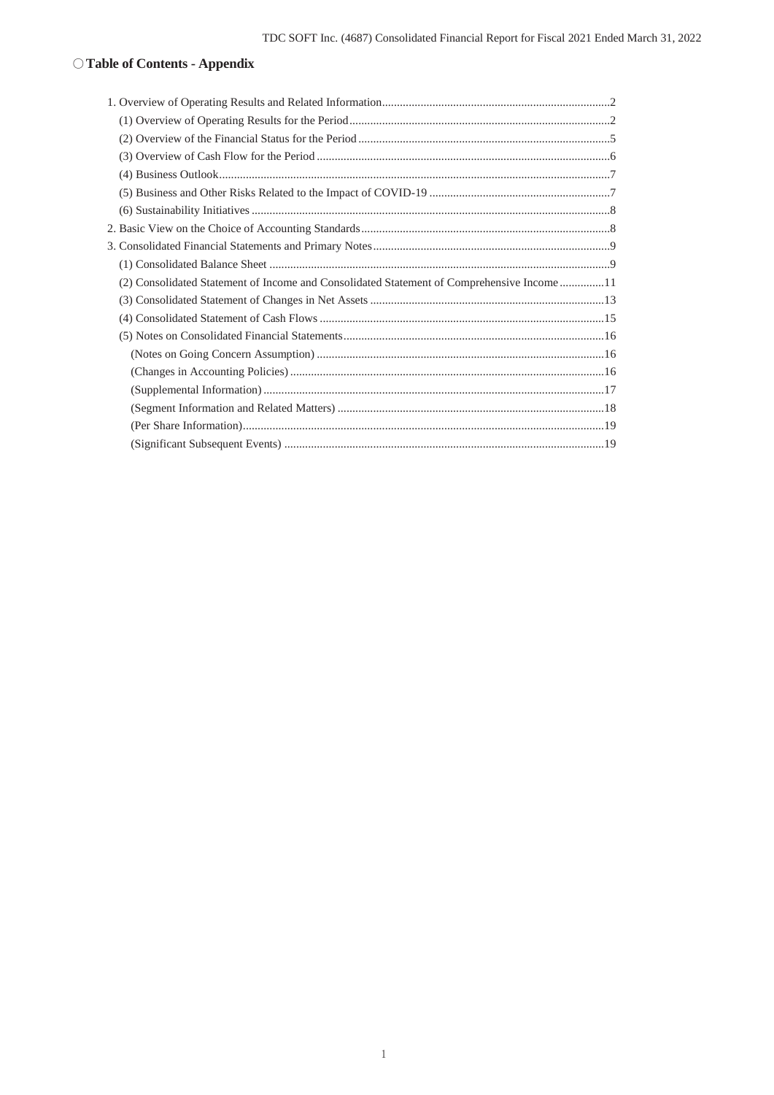### ○**Table of Contents - Appendix**

| (2) Consolidated Statement of Income and Consolidated Statement of Comprehensive Income11 |  |
|-------------------------------------------------------------------------------------------|--|
|                                                                                           |  |
|                                                                                           |  |
|                                                                                           |  |
|                                                                                           |  |
|                                                                                           |  |
|                                                                                           |  |
|                                                                                           |  |
|                                                                                           |  |
|                                                                                           |  |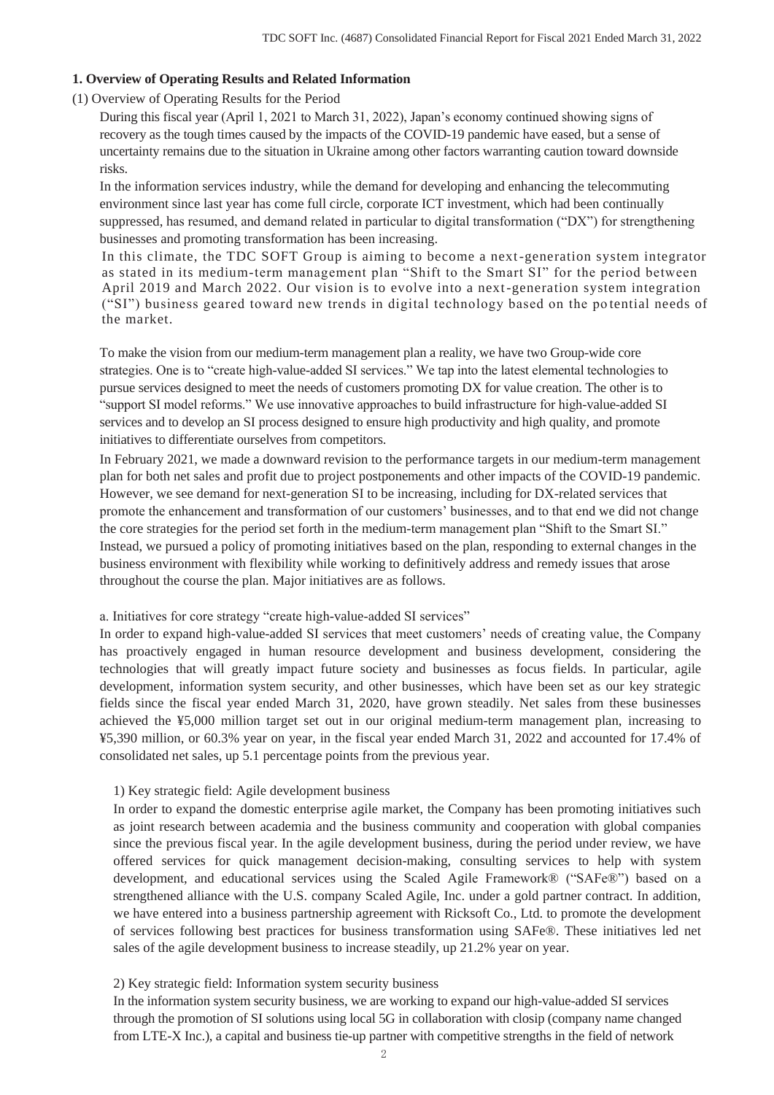### **1. Overview of Operating Results and Related Information**

(1) Overview of Operating Results for the Period

During this fiscal year (April 1, 2021 to March 31, 2022), Japan's economy continued showing signs of recovery as the tough times caused by the impacts of the COVID-19 pandemic have eased, but a sense of uncertainty remains due to the situation in Ukraine among other factors warranting caution toward downside risks.

In the information services industry, while the demand for developing and enhancing the telecommuting environment since last year has come full circle, corporate ICT investment, which had been continually suppressed, has resumed, and demand related in particular to digital transformation ("DX") for strengthening businesses and promoting transformation has been increasing.

In this climate, the TDC SOFT Group is aiming to become a next-generation system integrator as stated in its medium-term management plan "Shift to the Smart SI" for the period between April 2019 and March 2022. Our vision is to evolve into a next-generation system integration ("SI") business geared toward new trends in digital technology based on the po tential needs of the market.

To make the vision from our medium-term management plan a reality, we have two Group-wide core strategies. One is to "create high-value-added SI services." We tap into the latest elemental technologies to pursue services designed to meet the needs of customers promoting DX for value creation. The other is to "support SI model reforms." We use innovative approaches to build infrastructure for high-value-added SI services and to develop an SI process designed to ensure high productivity and high quality, and promote initiatives to differentiate ourselves from competitors.

In February 2021, we made a downward revision to the performance targets in our medium-term management plan for both net sales and profit due to project postponements and other impacts of the COVID-19 pandemic. However, we see demand for next-generation SI to be increasing, including for DX-related services that promote the enhancement and transformation of our customers' businesses, and to that end we did not change the core strategies for the period set forth in the medium-term management plan "Shift to the Smart SI." Instead, we pursued a policy of promoting initiatives based on the plan, responding to external changes in the business environment with flexibility while working to definitively address and remedy issues that arose throughout the course the plan. Major initiatives are as follows.

### a. Initiatives for core strategy "create high-value-added SI services"

In order to expand high-value-added SI services that meet customers' needs of creating value, the Company has proactively engaged in human resource development and business development, considering the technologies that will greatly impact future society and businesses as focus fields. In particular, agile development, information system security, and other businesses, which have been set as our key strategic fields since the fiscal year ended March 31, 2020, have grown steadily. Net sales from these businesses achieved the ¥5,000 million target set out in our original medium-term management plan, increasing to ¥5,390 million, or 60.3% year on year, in the fiscal year ended March 31, 2022 and accounted for 17.4% of consolidated net sales, up 5.1 percentage points from the previous year.

### 1) Key strategic field: Agile development business

In order to expand the domestic enterprise agile market, the Company has been promoting initiatives such as joint research between academia and the business community and cooperation with global companies since the previous fiscal year. In the agile development business, during the period under review, we have offered services for quick management decision-making, consulting services to help with system development, and educational services using the Scaled Agile Framework® ("SAFe®") based on a strengthened alliance with the U.S. company Scaled Agile, Inc. under a gold partner contract. In addition, we have entered into a business partnership agreement with Ricksoft Co., Ltd. to promote the development of services following best practices for business transformation using SAFe®. These initiatives led net sales of the agile development business to increase steadily, up 21.2% year on year.

### 2) Key strategic field: Information system security business

In the information system security business, we are working to expand our high-value-added SI services through the promotion of SI solutions using local 5G in collaboration with closip (company name changed from LTE-X Inc.), a capital and business tie-up partner with competitive strengths in the field of network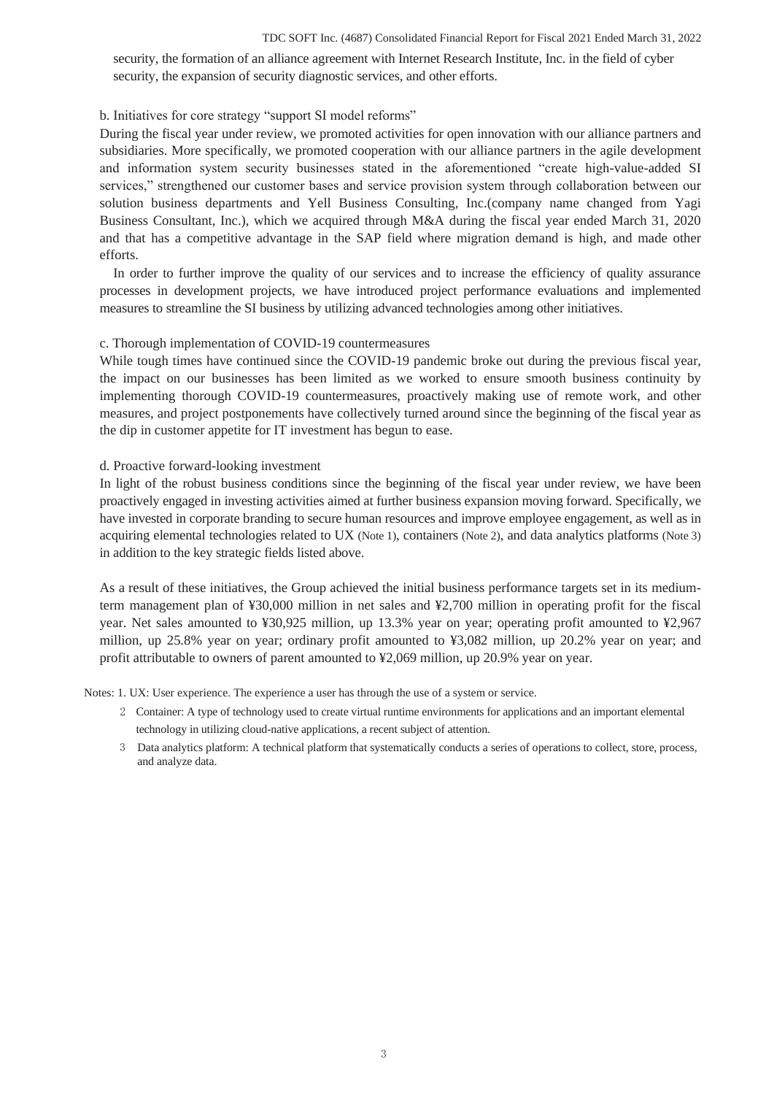#### TDC SOFT Inc. (4687) Consolidated Financial Report for Fiscal 2021 Ended March 31, 2022

security, the formation of an alliance agreement with Internet Research Institute, Inc. in the field of cyber security, the expansion of security diagnostic services, and other efforts.

### b. Initiatives for core strategy "support SI model reforms"

During the fiscal year under review, we promoted activities for open innovation with our alliance partners and subsidiaries. More specifically, we promoted cooperation with our alliance partners in the agile development and information system security businesses stated in the aforementioned "create high-value-added SI services," strengthened our customer bases and service provision system through collaboration between our solution business departments and Yell Business Consulting, Inc.(company name changed from Yagi Business Consultant, Inc.), which we acquired through M&A during the fiscal year ended March 31, 2020 and that has a competitive advantage in the SAP field where migration demand is high, and made other efforts.

In order to further improve the quality of our services and to increase the efficiency of quality assurance processes in development projects, we have introduced project performance evaluations and implemented measures to streamline the SI business by utilizing advanced technologies among other initiatives.

### c. Thorough implementation of COVID-19 countermeasures

While tough times have continued since the COVID-19 pandemic broke out during the previous fiscal year, the impact on our businesses has been limited as we worked to ensure smooth business continuity by implementing thorough COVID-19 countermeasures, proactively making use of remote work, and other measures, and project postponements have collectively turned around since the beginning of the fiscal year as the dip in customer appetite for IT investment has begun to ease.

### d. Proactive forward-looking investment

In light of the robust business conditions since the beginning of the fiscal year under review, we have been proactively engaged in investing activities aimed at further business expansion moving forward. Specifically, we have invested in corporate branding to secure human resources and improve employee engagement, as well as in acquiring elemental technologies related to UX (Note 1), containers (Note 2), and data analytics platforms (Note 3) in addition to the key strategic fields listed above.

As a result of these initiatives, the Group achieved the initial business performance targets set in its mediumterm management plan of ¥30,000 million in net sales and ¥2,700 million in operating profit for the fiscal year. Net sales amounted to ¥30,925 million, up 13.3% year on year; operating profit amounted to ¥2,967 million, up 25.8% year on year; ordinary profit amounted to ¥3,082 million, up 20.2% year on year; and profit attributable to owners of parent amounted to ¥2,069 million, up 20.9% year on year.

Notes: 1. UX: User experience. The experience a user has through the use of a system or service.

- 2 Container: A type of technology used to create virtual runtime environments for applications and an important elemental technology in utilizing cloud-native applications, a recent subject of attention.
- 3 Data analytics platform: A technical platform that systematically conducts a series of operations to collect, store, process, and analyze data.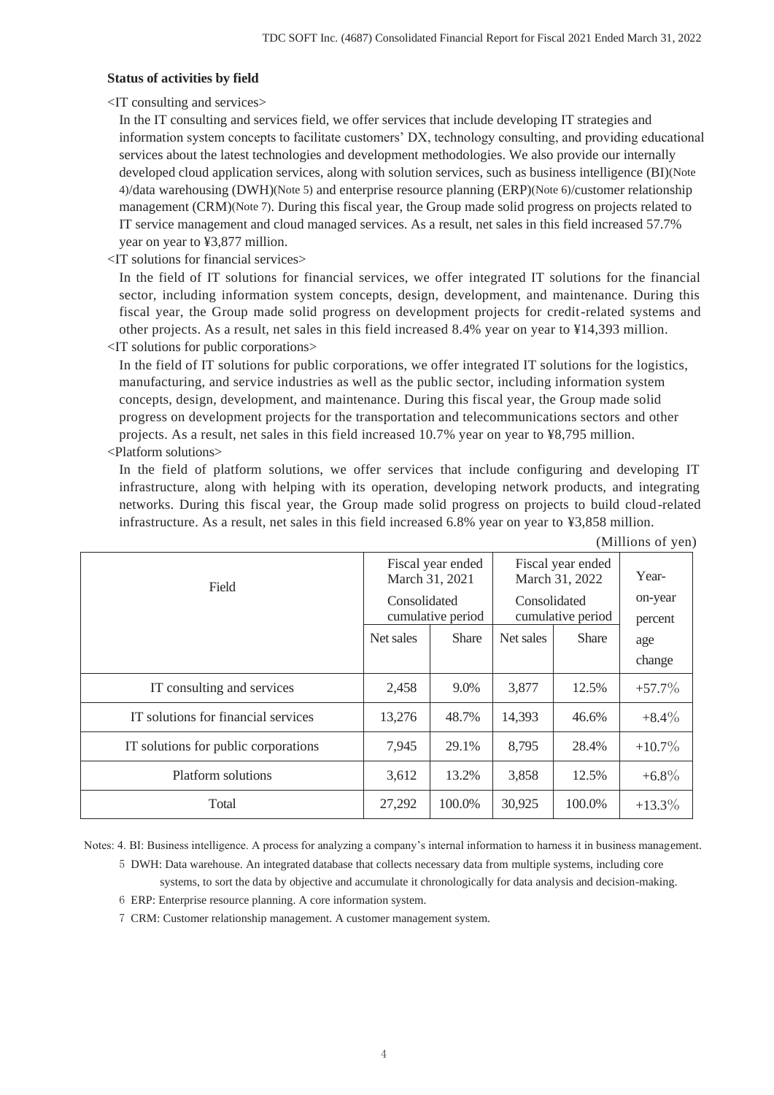### **Status of activities by field**

<IT consulting and services>

In the IT consulting and services field, we offer services that include developing IT strategies and information system concepts to facilitate customers' DX, technology consulting, and providing educational services about the latest technologies and development methodologies. We also provide our internally developed cloud application services, along with solution services, such as business intelligence (BI)(Note 4)/data warehousing (DWH)(Note 5) and enterprise resource planning (ERP)(Note 6)/customer relationship management (CRM)(Note 7). During this fiscal year, the Group made solid progress on projects related to IT service management and cloud managed services. As a result, net sales in this field increased 57.7% year on year to ¥3,877 million.

<IT solutions for financial services>

In the field of IT solutions for financial services, we offer integrated IT solutions for the financial sector, including information system concepts, design, development, and maintenance. During this fiscal year, the Group made solid progress on development projects for credit-related systems and other projects. As a result, net sales in this field increased 8.4% year on year to ¥14,393 million. <IT solutions for public corporations>

In the field of IT solutions for public corporations, we offer integrated IT solutions for the logistics, manufacturing, and service industries as well as the public sector, including information system concepts, design, development, and maintenance. During this fiscal year, the Group made solid progress on development projects for the transportation and telecommunications sectors and other projects. As a result, net sales in this field increased 10.7% year on year to ¥8,795 million. <Platform solutions>

In the field of platform solutions, we offer services that include configuring and developing IT infrastructure, along with helping with its operation, developing network products, and integrating networks. During this fiscal year, the Group made solid progress on projects to build cloud-related infrastructure. As a result, net sales in this field increased 6.8% year on year to ¥3,858 million.

| Field                                | March 31, 2021 | Fiscal year ended | Fiscal year ended<br>March 31, 2022<br>Consolidated<br>cumulative period |              | Year-              |
|--------------------------------------|----------------|-------------------|--------------------------------------------------------------------------|--------------|--------------------|
|                                      | Consolidated   | cumulative period |                                                                          |              | on-year<br>percent |
|                                      | Net sales      | <b>Share</b>      | Net sales                                                                | <b>Share</b> | age                |
|                                      |                |                   |                                                                          |              | change             |
| IT consulting and services           | 2,458          | 9.0%              | 3,877                                                                    | 12.5%        | $+57.7\%$          |
| IT solutions for financial services  | 13,276         | 48.7%             | 14,393                                                                   | 46.6%        | $+8.4\%$           |
| IT solutions for public corporations | 7,945          | 29.1%             | 8.795                                                                    | 28.4%        | $+10.7\%$          |
| Platform solutions                   | 3,612          | 13.2%             | 3,858                                                                    | 12.5%        | $+6.8\%$           |
| Total                                | 27,292         | 100.0%            | 30,925                                                                   | 100.0%       | $+13.3\%$          |

(Millions of yen)

Notes: 4. BI: Business intelligence. A process for analyzing a company's internal information to harness it in business management.

5 DWH: Data warehouse. An integrated database that collects necessary data from multiple systems, including core systems, to sort the data by objective and accumulate it chronologically for data analysis and decision-making.

6 ERP: Enterprise resource planning. A core information system.

7 CRM: Customer relationship management. A customer management system.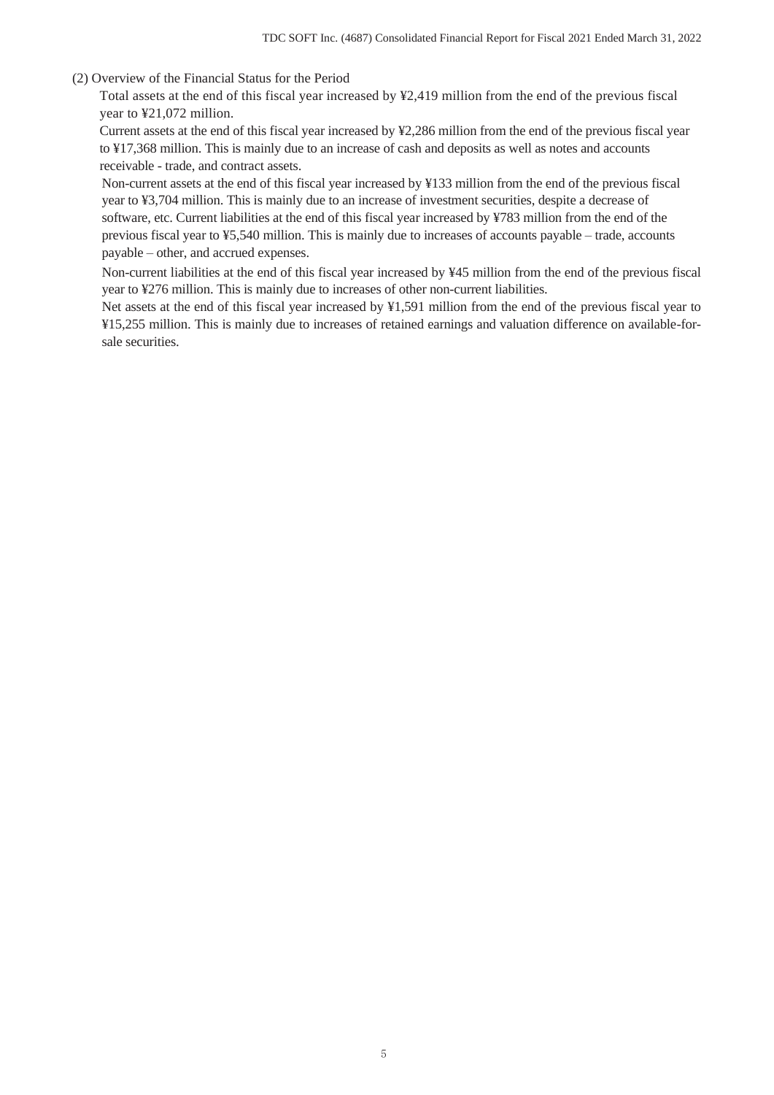### (2) Overview of the Financial Status for the Period

Total assets at the end of this fiscal year increased by ¥2,419 million from the end of the previous fiscal year to ¥21,072 million.

Current assets at the end of this fiscal year increased by ¥2,286 million from the end of the previous fiscal year to ¥17,368 million. This is mainly due to an increase of cash and deposits as well as notes and accounts receivable - trade, and contract assets.

Non-current assets at the end of this fiscal year increased by ¥133 million from the end of the previous fiscal year to ¥3,704 million. This is mainly due to an increase of investment securities, despite a decrease of software, etc. Current liabilities at the end of this fiscal year increased by ¥783 million from the end of the previous fiscal year to ¥5,540 million. This is mainly due to increases of accounts payable – trade, accounts payable – other, and accrued expenses.

Non-current liabilities at the end of this fiscal year increased by ¥45 million from the end of the previous fiscal year to ¥276 million. This is mainly due to increases of other non-current liabilities.

Net assets at the end of this fiscal year increased by ¥1,591 million from the end of the previous fiscal year to ¥15,255 million. This is mainly due to increases of retained earnings and valuation difference on available-forsale securities.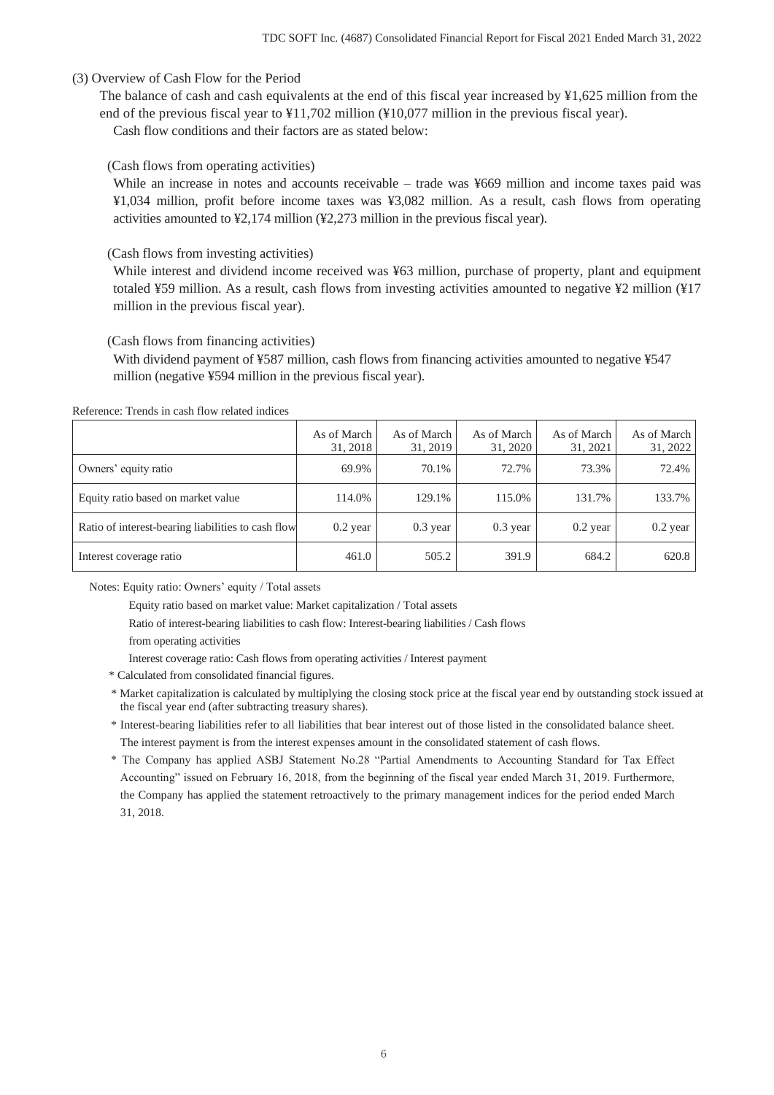### (3) Overview of Cash Flow for the Period

The balance of cash and cash equivalents at the end of this fiscal year increased by  $\frac{1}{2}$ ,625 million from the end of the previous fiscal year to ¥11,702 million (¥10,077 million in the previous fiscal year).

Cash flow conditions and their factors are as stated below:

### (Cash flows from operating activities)

While an increase in notes and accounts receivable – trade was ¥669 million and income taxes paid was ¥1,034 million, profit before income taxes was ¥3,082 million. As a result, cash flows from operating activities amounted to ¥2,174 million (¥2,273 million in the previous fiscal year).

### (Cash flows from investing activities)

While interest and dividend income received was ¥63 million, purchase of property, plant and equipment totaled ¥59 million. As a result, cash flows from investing activities amounted to negative ¥2 million (¥17 million in the previous fiscal year).

### (Cash flows from financing activities)

With dividend payment of ¥587 million, cash flows from financing activities amounted to negative ¥547 million (negative ¥594 million in the previous fiscal year).

#### Reference: Trends in cash flow related indices

|                                                    | As of March<br>31, 2018 | As of March<br>31, 2019 | As of March<br>31, 2020 | As of March<br>31, 2021 | As of March<br>31, 2022 |
|----------------------------------------------------|-------------------------|-------------------------|-------------------------|-------------------------|-------------------------|
| Owners' equity ratio                               | 69.9%                   | 70.1%                   | 72.7%                   | 73.3%                   | 72.4%                   |
| Equity ratio based on market value                 | 114.0%                  | 129.1%                  | 115.0%                  | 131.7%                  | 133.7%                  |
| Ratio of interest-bearing liabilities to cash flow | $0.2$ year              | $0.3$ year              | $0.3$ year              | $0.2$ year              | $0.2$ year              |
| Interest coverage ratio                            | 461.0                   | 505.2                   | 391.9                   | 684.2                   | 620.8                   |

Notes: Equity ratio: Owners' equity / Total assets

Equity ratio based on market value: Market capitalization / Total assets

Ratio of interest-bearing liabilities to cash flow: Interest-bearing liabilities / Cash flows

from operating activities

Interest coverage ratio: Cash flows from operating activities / Interest payment

- \* Calculated from consolidated financial figures.
- \* Market capitalization is calculated by multiplying the closing stock price at the fiscal year end by outstanding stock issued at the fiscal year end (after subtracting treasury shares).
- \* Interest-bearing liabilities refer to all liabilities that bear interest out of those listed in the consolidated balance sheet. The interest payment is from the interest expenses amount in the consolidated statement of cash flows.
- \* The Company has applied ASBJ Statement No.28 "Partial Amendments to Accounting Standard for Tax Effect Accounting" issued on February 16, 2018, from the beginning of the fiscal year ended March 31, 2019. Furthermore, the Company has applied the statement retroactively to the primary management indices for the period ended March 31, 2018.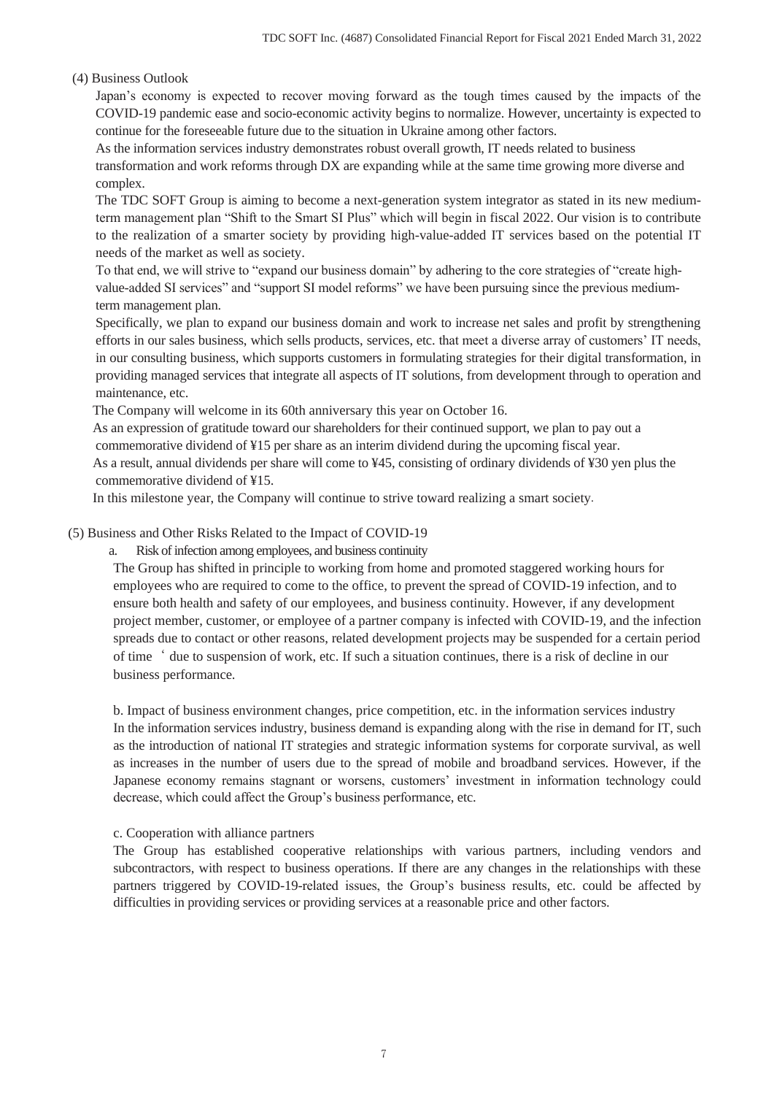## (4) Business Outlook

Japan's economy is expected to recover moving forward as the tough times caused by the impacts of the COVID-19 pandemic ease and socio-economic activity begins to normalize. However, uncertainty is expected to continue for the foreseeable future due to the situation in Ukraine among other factors.

As the information services industry demonstrates robust overall growth, IT needs related to business transformation and work reforms through DX are expanding while at the same time growing more diverse and complex.

The TDC SOFT Group is aiming to become a next-generation system integrator as stated in its new mediumterm management plan "Shift to the Smart SI Plus" which will begin in fiscal 2022. Our vision is to contribute to the realization of a smarter society by providing high-value-added IT services based on the potential IT needs of the market as well as society.

To that end, we will strive to "expand our business domain" by adhering to the core strategies of "create highvalue-added SI services" and "support SI model reforms" we have been pursuing since the previous mediumterm management plan.

Specifically, we plan to expand our business domain and work to increase net sales and profit by strengthening efforts in our sales business, which sells products, services, etc. that meet a diverse array of customers' IT needs, in our consulting business, which supports customers in formulating strategies for their digital transformation, in providing managed services that integrate all aspects of IT solutions, from development through to operation and maintenance, etc.

The Company will welcome in its 60th anniversary this year on October 16.

As an expression of gratitude toward our shareholders for their continued support, we plan to pay out a

commemorative dividend of ¥15 per share as an interim dividend during the upcoming fiscal year.

As a result, annual dividends per share will come to ¥45, consisting of ordinary dividends of ¥30 yen plus the commemorative dividend of ¥15.

In this milestone year, the Company will continue to strive toward realizing a smart society.

## (5) Business and Other Risks Related to the Impact of COVID-19

a. Risk of infection among employees, and business continuity

The Group has shifted in principle to working from home and promoted staggered working hours for employees who are required to come to the office, to prevent the spread of COVID-19 infection, and to ensure both health and safety of our employees, and business continuity. However, if any development project member, customer, or employee of a partner company is infected with COVID-19, and the infection spreads due to contact or other reasons, related development projects may be suspended for a certain period of time' due to suspension of work, etc. If such a situation continues, there is a risk of decline in our business performance.

b. Impact of business environment changes, price competition, etc. in the information services industry In the information services industry, business demand is expanding along with the rise in demand for IT, such as the introduction of national IT strategies and strategic information systems for corporate survival, as well as increases in the number of users due to the spread of mobile and broadband services. However, if the Japanese economy remains stagnant or worsens, customers' investment in information technology could decrease, which could affect the Group's business performance, etc.

### c. Cooperation with alliance partners

The Group has established cooperative relationships with various partners, including vendors and subcontractors, with respect to business operations. If there are any changes in the relationships with these partners triggered by COVID-19-related issues, the Group's business results, etc. could be affected by difficulties in providing services or providing services at a reasonable price and other factors.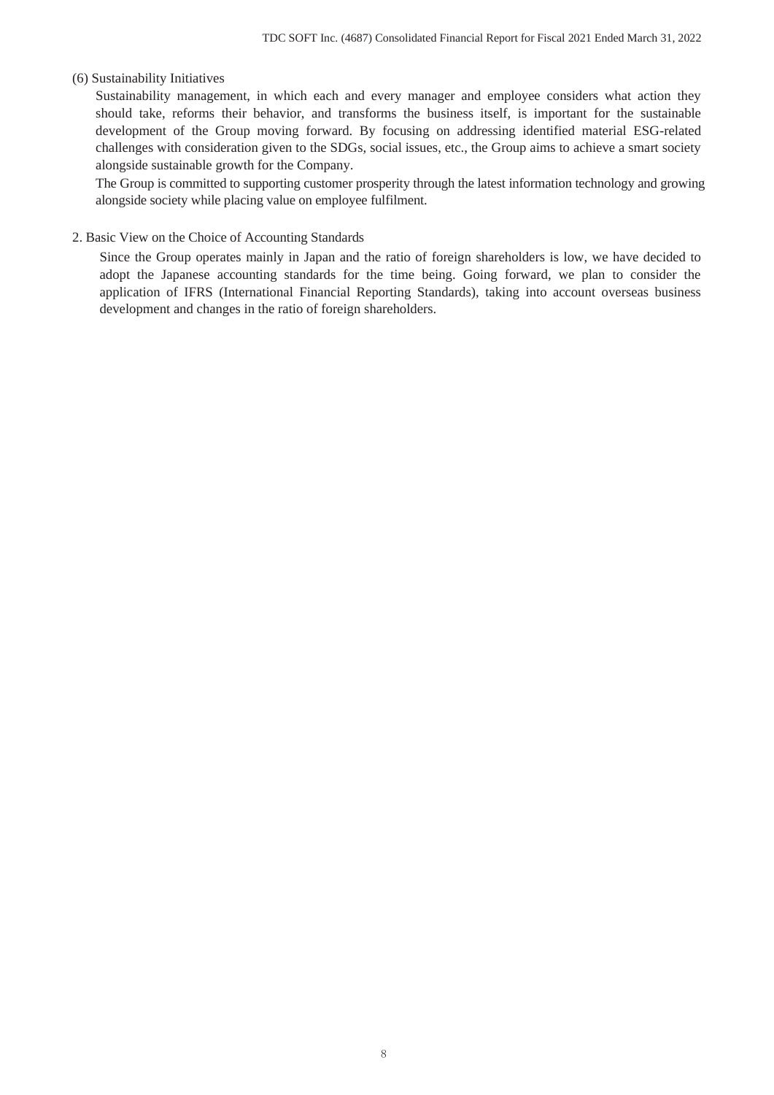### (6) Sustainability Initiatives

Sustainability management, in which each and every manager and employee considers what action they should take, reforms their behavior, and transforms the business itself, is important for the sustainable development of the Group moving forward. By focusing on addressing identified material ESG-related challenges with consideration given to the SDGs, social issues, etc., the Group aims to achieve a smart society alongside sustainable growth for the Company.

The Group is committed to supporting customer prosperity through the latest information technology and growing alongside society while placing value on employee fulfilment.

### 2. Basic View on the Choice of Accounting Standards

Since the Group operates mainly in Japan and the ratio of foreign shareholders is low, we have decided to adopt the Japanese accounting standards for the time being. Going forward, we plan to consider the application of IFRS (International Financial Reporting Standards), taking into account overseas business development and changes in the ratio of foreign shareholders.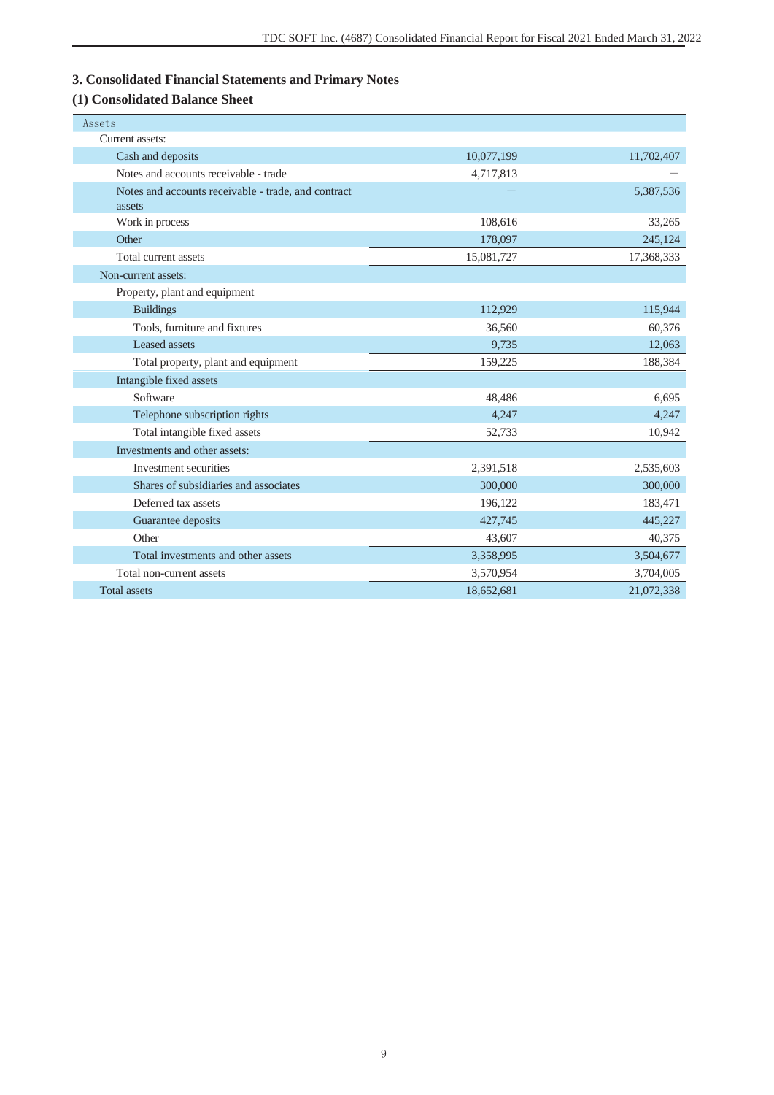# **3. Consolidated Financial Statements and Primary Notes**

# **(1) Consolidated Balance Sheet**

| Assets                                              |            |            |
|-----------------------------------------------------|------------|------------|
| Current assets:                                     |            |            |
| Cash and deposits                                   | 10,077,199 | 11,702,407 |
| Notes and accounts receivable - trade               | 4,717,813  |            |
| Notes and accounts receivable - trade, and contract |            | 5,387,536  |
| assets                                              |            |            |
| Work in process                                     | 108,616    | 33,265     |
| Other                                               | 178,097    | 245,124    |
| Total current assets                                | 15,081,727 | 17,368,333 |
| Non-current assets:                                 |            |            |
| Property, plant and equipment                       |            |            |
| <b>Buildings</b>                                    | 112,929    | 115,944    |
| Tools, furniture and fixtures                       | 36,560     | 60,376     |
| Leased assets                                       | 9,735      | 12,063     |
| Total property, plant and equipment                 | 159,225    | 188,384    |
| Intangible fixed assets                             |            |            |
| Software                                            | 48,486     | 6,695      |
| Telephone subscription rights                       | 4,247      | 4,247      |
| Total intangible fixed assets                       | 52,733     | 10,942     |
| Investments and other assets:                       |            |            |
| Investment securities                               | 2,391,518  | 2,535,603  |
| Shares of subsidiaries and associates               | 300,000    | 300,000    |
| Deferred tax assets                                 | 196,122    | 183,471    |
| Guarantee deposits                                  | 427,745    | 445,227    |
| Other                                               | 43,607     | 40,375     |
| Total investments and other assets                  | 3,358,995  | 3,504,677  |
| Total non-current assets                            | 3,570,954  | 3,704,005  |
| <b>Total assets</b>                                 | 18,652,681 | 21,072,338 |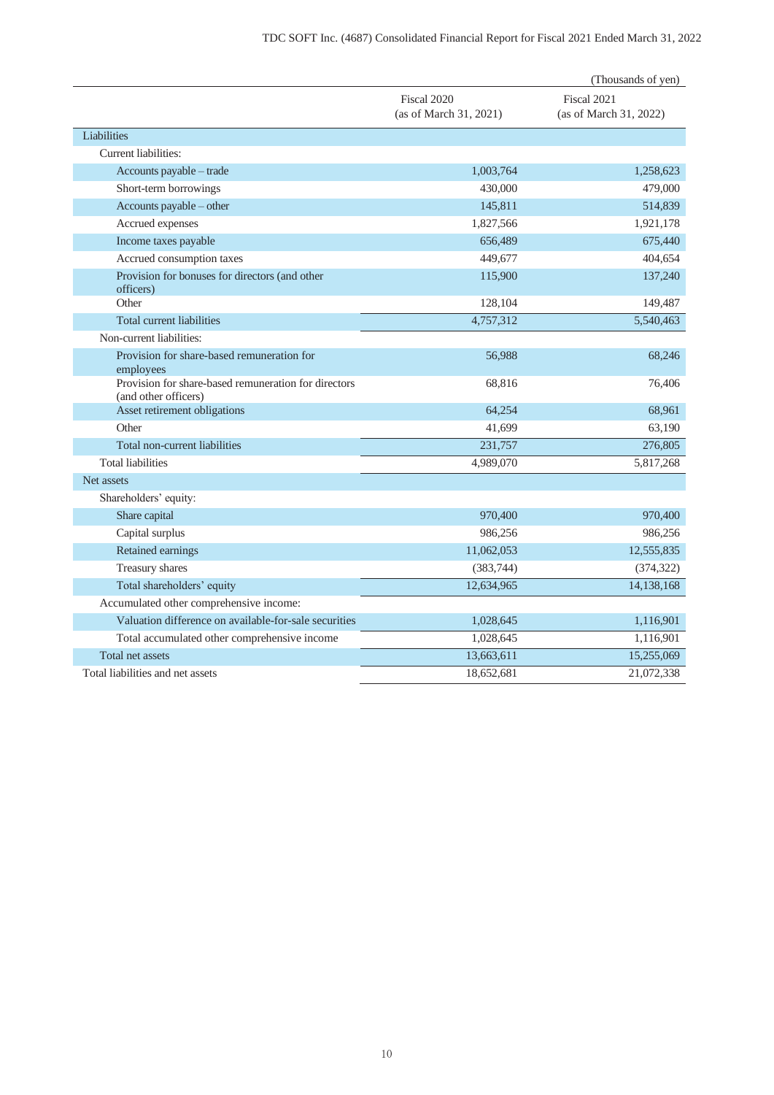|                                                                              |                                       | (Thousands of yen)                    |
|------------------------------------------------------------------------------|---------------------------------------|---------------------------------------|
|                                                                              | Fiscal 2020<br>(as of March 31, 2021) | Fiscal 2021<br>(as of March 31, 2022) |
| Liabilities                                                                  |                                       |                                       |
| Current liabilities:                                                         |                                       |                                       |
| Accounts payable - trade                                                     | 1,003,764                             | 1,258,623                             |
| Short-term borrowings                                                        | 430,000                               | 479,000                               |
| Accounts payable - other                                                     | 145,811                               | 514,839                               |
| Accrued expenses                                                             | 1,827,566                             | 1,921,178                             |
| Income taxes payable                                                         | 656,489                               | 675,440                               |
| Accrued consumption taxes                                                    | 449,677                               | 404,654                               |
| Provision for bonuses for directors (and other<br>officers)                  | 115,900                               | 137,240                               |
| Other                                                                        | 128,104                               | 149,487                               |
| <b>Total current liabilities</b>                                             | 4,757,312                             | 5,540,463                             |
| Non-current liabilities:                                                     |                                       |                                       |
| Provision for share-based remuneration for<br>employees                      | 56,988                                | 68,246                                |
| Provision for share-based remuneration for directors<br>(and other officers) | 68,816                                | 76,406                                |
| Asset retirement obligations                                                 | 64,254                                | 68,961                                |
| Other                                                                        | 41,699                                | 63,190                                |
| Total non-current liabilities                                                | 231,757                               | 276,805                               |
| <b>Total liabilities</b>                                                     | 4,989,070                             | 5,817,268                             |
| Net assets                                                                   |                                       |                                       |
| Shareholders' equity:                                                        |                                       |                                       |
| Share capital                                                                | 970,400                               | 970,400                               |
| Capital surplus                                                              | 986,256                               | 986,256                               |
| Retained earnings                                                            | 11,062,053                            | 12,555,835                            |
| Treasury shares                                                              | (383,744)                             | (374, 322)                            |
| Total shareholders' equity                                                   | 12,634,965                            | 14,138,168                            |
| Accumulated other comprehensive income:                                      |                                       |                                       |
| Valuation difference on available-for-sale securities                        | 1,028,645                             | 1,116,901                             |
| Total accumulated other comprehensive income                                 | 1,028,645                             | 1,116,901                             |
| Total net assets                                                             | 13,663,611                            | 15,255,069                            |
| Total liabilities and net assets                                             | 18.652.681                            | 21,072,338                            |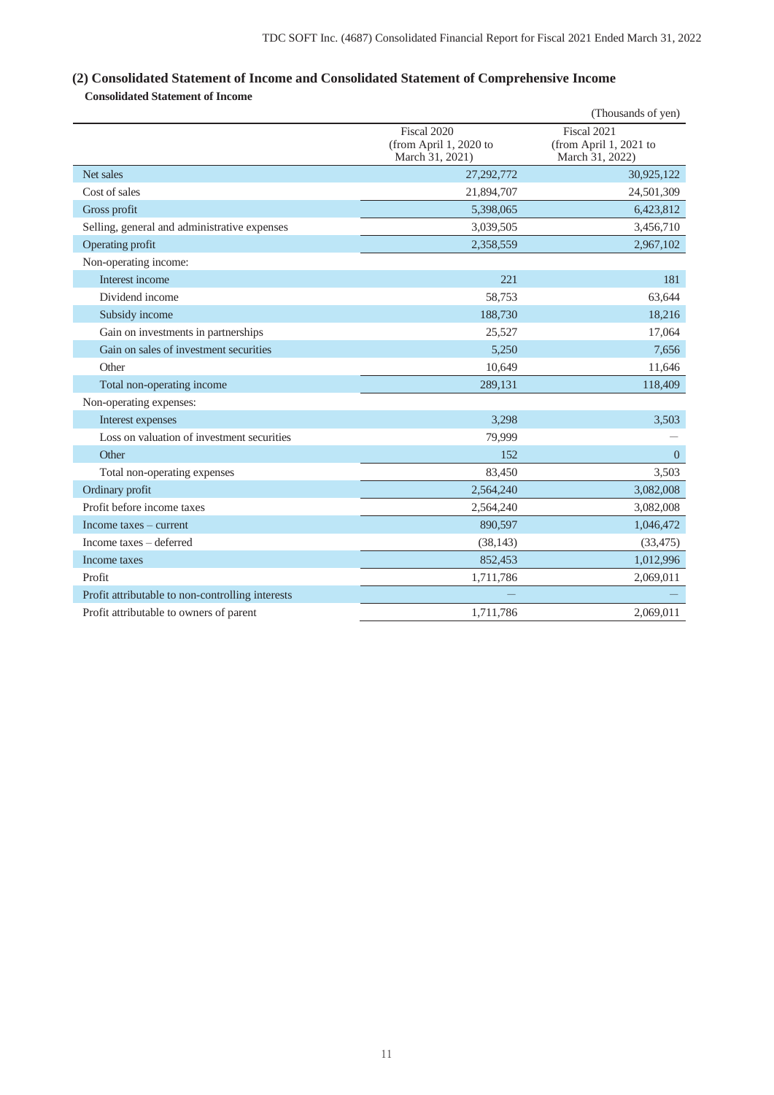# **(2) Consolidated Statement of Income and Consolidated Statement of Comprehensive Income**

**Consolidated Statement of Income**

|                                                  |                                                          | (Thousands of yen)                                       |
|--------------------------------------------------|----------------------------------------------------------|----------------------------------------------------------|
|                                                  | Fiscal 2020<br>(from April 1, 2020 to<br>March 31, 2021) | Fiscal 2021<br>(from April 1, 2021 to<br>March 31, 2022) |
| Net sales                                        | 27,292,772                                               | 30,925,122                                               |
| Cost of sales                                    | 21,894,707                                               | 24,501,309                                               |
| Gross profit                                     | 5,398,065                                                | 6,423,812                                                |
| Selling, general and administrative expenses     | 3,039,505                                                | 3,456,710                                                |
| Operating profit                                 | 2,358,559                                                | 2,967,102                                                |
| Non-operating income:                            |                                                          |                                                          |
| Interest income                                  | 221                                                      | 181                                                      |
| Dividend income                                  | 58,753                                                   | 63,644                                                   |
| Subsidy income                                   | 188,730                                                  | 18,216                                                   |
| Gain on investments in partnerships              | 25,527                                                   | 17,064                                                   |
| Gain on sales of investment securities           | 5,250                                                    | 7,656                                                    |
| Other                                            | 10,649                                                   | 11,646                                                   |
| Total non-operating income                       | 289,131                                                  | 118,409                                                  |
| Non-operating expenses:                          |                                                          |                                                          |
| Interest expenses                                | 3,298                                                    | 3,503                                                    |
| Loss on valuation of investment securities       | 79,999                                                   |                                                          |
| Other                                            | 152                                                      | $\overline{0}$                                           |
| Total non-operating expenses                     | 83,450                                                   | 3,503                                                    |
| Ordinary profit                                  | 2,564,240                                                | 3,082,008                                                |
| Profit before income taxes                       | 2,564,240                                                | 3,082,008                                                |
| Income taxes – current                           | 890,597                                                  | 1,046,472                                                |
| Income taxes - deferred                          | (38, 143)                                                | (33, 475)                                                |
| Income taxes                                     | 852,453                                                  | 1,012,996                                                |
| Profit                                           | 1,711,786                                                | 2,069,011                                                |
| Profit attributable to non-controlling interests |                                                          |                                                          |
| Profit attributable to owners of parent          | 1.711.786                                                | 2.069.011                                                |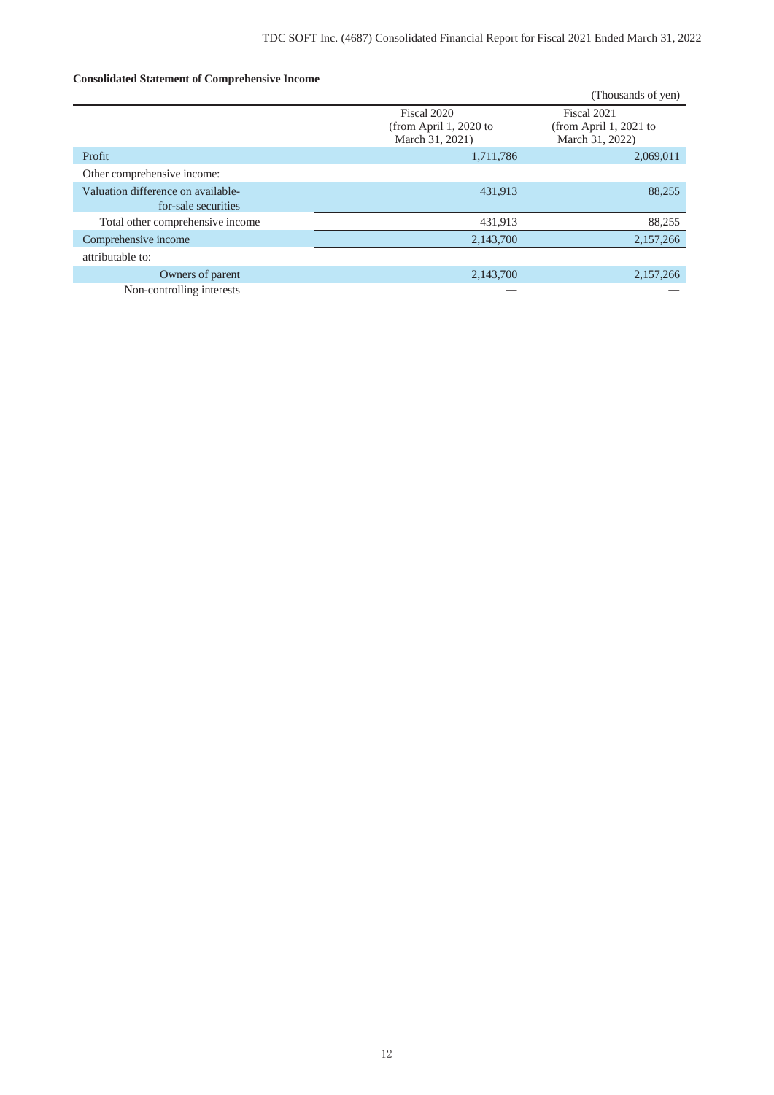### **Consolidated Statement of Comprehensive Income**

|                                    |                                                          | (Thousands of yen)                                       |
|------------------------------------|----------------------------------------------------------|----------------------------------------------------------|
|                                    | Fiscal 2020<br>(from April 1, 2020 to<br>March 31, 2021) | Fiscal 2021<br>(from April 1, 2021 to<br>March 31, 2022) |
| Profit                             | 1,711,786                                                | 2,069,011                                                |
| Other comprehensive income:        |                                                          |                                                          |
| Valuation difference on available- | 431,913                                                  | 88,255                                                   |
| for-sale securities                |                                                          |                                                          |
| Total other comprehensive income   | 431,913                                                  | 88,255                                                   |
| Comprehensive income               | 2,143,700                                                | 2,157,266                                                |
| attributable to:                   |                                                          |                                                          |
| Owners of parent                   | 2,143,700                                                | 2,157,266                                                |
| Non-controlling interests          |                                                          |                                                          |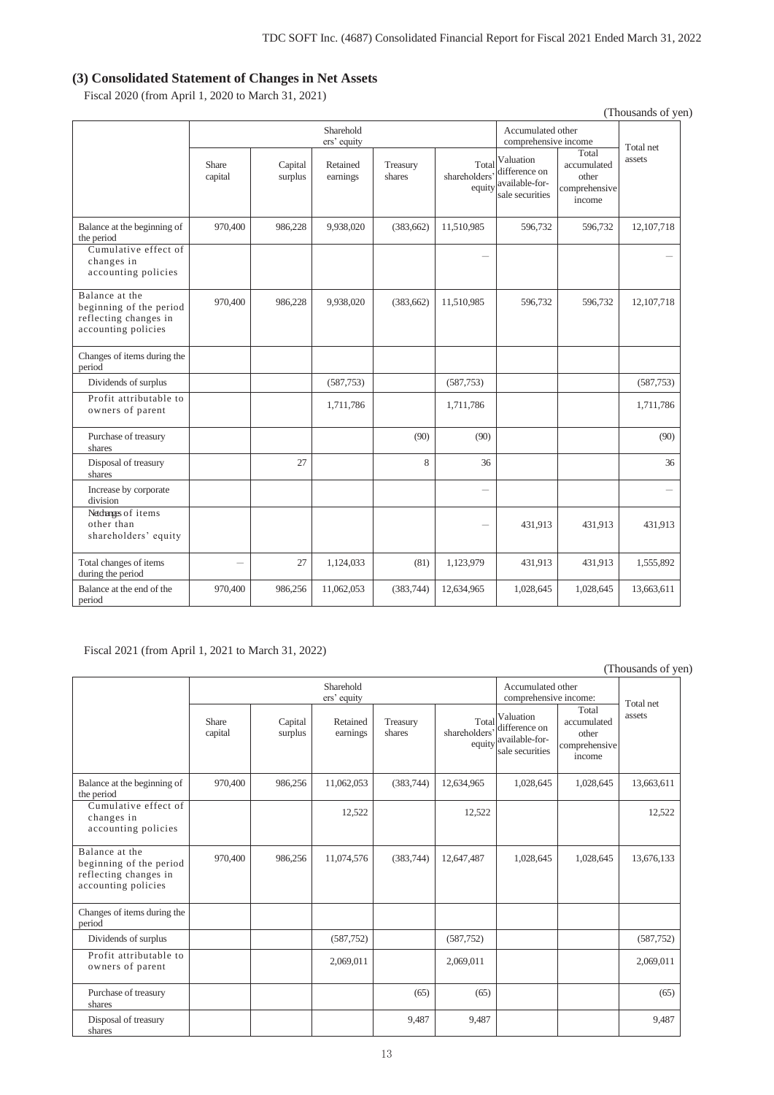### **(3) Consolidated Statement of Changes in Net Assets**

Fiscal 2020 (from April 1, 2020 to March 31, 2021)

|                                                                                           |                  |                    |                          |                    |                                  |                                                                 |                                                          | (Thousands of yen) |
|-------------------------------------------------------------------------------------------|------------------|--------------------|--------------------------|--------------------|----------------------------------|-----------------------------------------------------------------|----------------------------------------------------------|--------------------|
|                                                                                           |                  |                    | Sharehold<br>ers' equity |                    |                                  | Accumulated other<br>comprehensive income                       |                                                          | Total net          |
|                                                                                           | Share<br>capital | Capital<br>surplus | Retained<br>earnings     | Treasury<br>shares | Total<br>shareholders'<br>equity | Valuation<br>difference on<br>available-for-<br>sale securities | Total<br>accumulated<br>other<br>comprehensive<br>income | assets             |
| Balance at the beginning of<br>the period                                                 | 970,400          | 986,228            | 9,938,020                | (383, 662)         | 11,510,985                       | 596,732                                                         | 596,732                                                  | 12,107,718         |
| Cumulative effect of<br>changes in<br>accounting policies                                 |                  |                    |                          |                    |                                  |                                                                 |                                                          |                    |
| Balance at the<br>beginning of the period<br>reflecting changes in<br>accounting policies | 970,400          | 986,228            | 9,938,020                | (383, 662)         | 11,510,985                       | 596,732                                                         | 596,732                                                  | 12,107,718         |
| Changes of items during the<br>period                                                     |                  |                    |                          |                    |                                  |                                                                 |                                                          |                    |
| Dividends of surplus                                                                      |                  |                    | (587,753)                |                    | (587,753)                        |                                                                 |                                                          | (587,753)          |
| Profit attributable to<br>owners of parent                                                |                  |                    | 1,711,786                |                    | 1,711,786                        |                                                                 |                                                          | 1,711,786          |
| Purchase of treasury<br>shares                                                            |                  |                    |                          | (90)               | (90)                             |                                                                 |                                                          | (90)               |
| Disposal of treasury<br>shares                                                            |                  | 27                 |                          | 8                  | 36                               |                                                                 |                                                          | 36                 |
| Increase by corporate<br>division                                                         |                  |                    |                          |                    | $\overline{\phantom{0}}$         |                                                                 |                                                          |                    |
| Netchness of items<br>other than<br>shareholders' equity                                  |                  |                    |                          |                    |                                  | 431,913                                                         | 431,913                                                  | 431,913            |
| Total changes of items<br>during the period                                               |                  | 27                 | 1,124,033                | (81)               | 1,123,979                        | 431,913                                                         | 431,913                                                  | 1,555,892          |
| Balance at the end of the<br>period                                                       | 970,400          | 986,256            | 11,062,053               | (383,744)          | 12,634,965                       | 1,028,645                                                       | 1,028,645                                                | 13,663,611         |

Fiscal 2021 (from April 1, 2021 to March 31, 2022)

(Thousands of yen)

|                                                                                           |                  |                    | Sharehold<br>ers' equity |                    |                                 | Accumulated other<br>comprehensive income:                      |                                                          | Total net  |
|-------------------------------------------------------------------------------------------|------------------|--------------------|--------------------------|--------------------|---------------------------------|-----------------------------------------------------------------|----------------------------------------------------------|------------|
|                                                                                           | Share<br>capital | Capital<br>surplus | Retained<br>earnings     | Treasury<br>shares | Total<br>shareholders<br>equity | Valuation<br>difference on<br>available-for-<br>sale securities | Total<br>accumulated<br>other<br>comprehensive<br>income | assets     |
| Balance at the beginning of<br>the period                                                 | 970,400          | 986,256            | 11,062,053               | (383,744)          | 12,634,965                      | 1,028,645                                                       | 1,028,645                                                | 13,663,611 |
| Cumulative effect of<br>changes in<br>accounting policies                                 |                  |                    | 12,522                   |                    | 12,522                          |                                                                 |                                                          | 12,522     |
| Balance at the<br>beginning of the period<br>reflecting changes in<br>accounting policies | 970,400          | 986,256            | 11,074,576               | (383,744)          | 12,647,487                      | 1,028,645                                                       | 1,028,645                                                | 13,676,133 |
| Changes of items during the<br>period                                                     |                  |                    |                          |                    |                                 |                                                                 |                                                          |            |
| Dividends of surplus                                                                      |                  |                    | (587,752)                |                    | (587,752)                       |                                                                 |                                                          | (587,752)  |
| Profit attributable to<br>owners of parent                                                |                  |                    | 2,069,011                |                    | 2,069,011                       |                                                                 |                                                          | 2,069,011  |
| Purchase of treasury<br>shares                                                            |                  |                    |                          | (65)               | (65)                            |                                                                 |                                                          | (65)       |
| Disposal of treasury<br>shares                                                            |                  |                    |                          | 9,487              | 9,487                           |                                                                 |                                                          | 9,487      |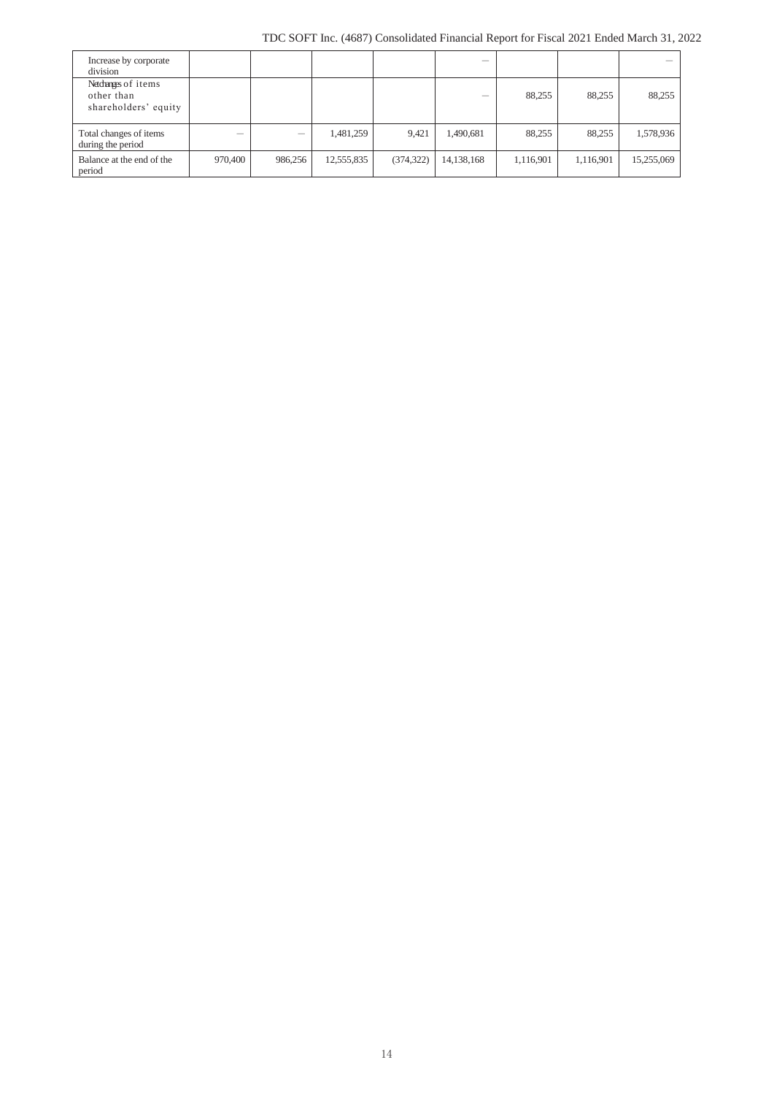| Increase by corporate<br>division                         |         |         |            |            | -          |           |           |            |
|-----------------------------------------------------------|---------|---------|------------|------------|------------|-----------|-----------|------------|
| Netchanges of items<br>other than<br>shareholders' equity |         |         |            |            |            | 88,255    | 88.255    | 88,255     |
| Total changes of items<br>during the period               |         |         | 1,481,259  | 9,421      | 1,490,681  | 88,255    | 88,255    | 1,578,936  |
| Balance at the end of the<br>period                       | 970,400 | 986,256 | 12,555,835 | (374, 322) | 14,138,168 | 1,116,901 | 1,116,901 | 15,255,069 |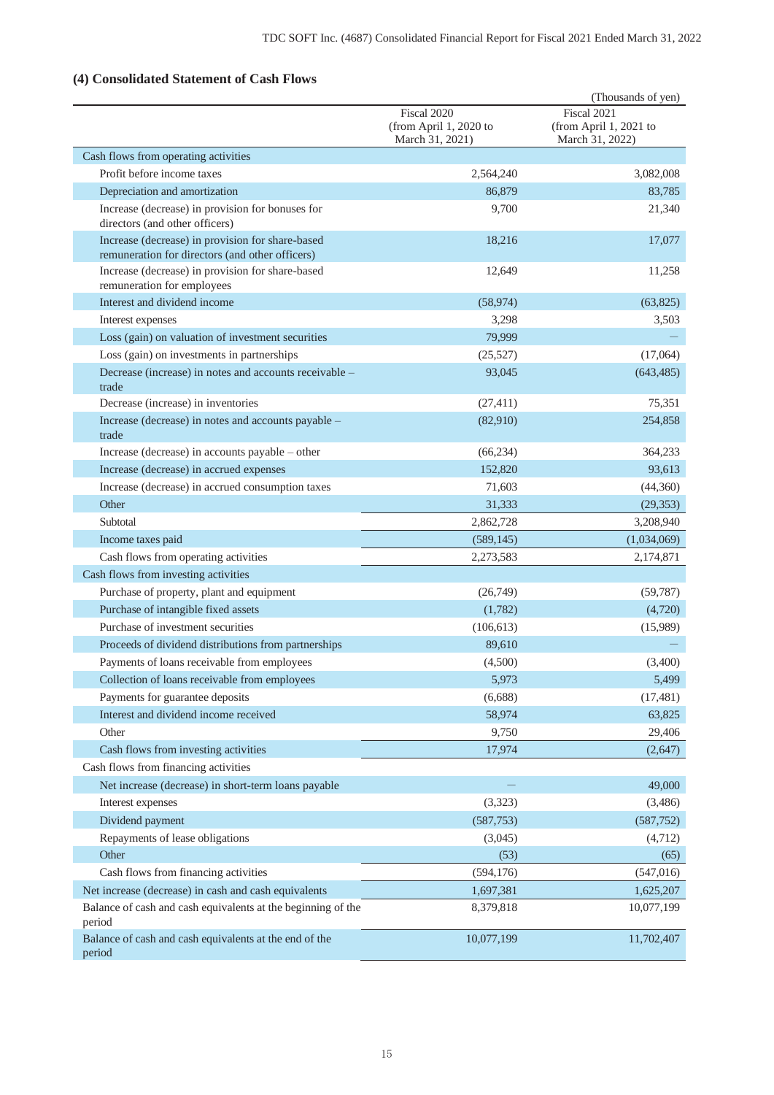# **(4) Consolidated Statement of Cash Flows**

|                                                                                                     |                                                          | (Thousands of yen)                                       |
|-----------------------------------------------------------------------------------------------------|----------------------------------------------------------|----------------------------------------------------------|
|                                                                                                     | Fiscal 2020<br>(from April 1, 2020 to<br>March 31, 2021) | Fiscal 2021<br>(from April 1, 2021 to<br>March 31, 2022) |
| Cash flows from operating activities                                                                |                                                          |                                                          |
| Profit before income taxes                                                                          | 2,564,240                                                | 3,082,008                                                |
| Depreciation and amortization                                                                       | 86,879                                                   | 83,785                                                   |
| Increase (decrease) in provision for bonuses for<br>directors (and other officers)                  | 9,700                                                    | 21,340                                                   |
| Increase (decrease) in provision for share-based<br>remuneration for directors (and other officers) | 18,216                                                   | 17,077                                                   |
| Increase (decrease) in provision for share-based<br>remuneration for employees                      | 12,649                                                   | 11,258                                                   |
| Interest and dividend income                                                                        | (58, 974)                                                | (63, 825)                                                |
| Interest expenses                                                                                   | 3,298                                                    | 3,503                                                    |
| Loss (gain) on valuation of investment securities                                                   | 79,999                                                   |                                                          |
| Loss (gain) on investments in partnerships                                                          | (25, 527)                                                | (17,064)                                                 |
| Decrease (increase) in notes and accounts receivable -<br>trade                                     | 93,045                                                   | (643, 485)                                               |
| Decrease (increase) in inventories                                                                  | (27, 411)                                                | 75,351                                                   |
| Increase (decrease) in notes and accounts payable -<br>trade                                        | (82,910)                                                 | 254,858                                                  |
| Increase (decrease) in accounts payable – other                                                     | (66, 234)                                                | 364,233                                                  |
| Increase (decrease) in accrued expenses                                                             | 152,820                                                  | 93,613                                                   |
| Increase (decrease) in accrued consumption taxes                                                    | 71,603                                                   | (44,360)                                                 |
| Other                                                                                               | 31,333                                                   | (29, 353)                                                |
| Subtotal                                                                                            | 2,862,728                                                | 3,208,940                                                |
| Income taxes paid                                                                                   | (589, 145)                                               | (1,034,069)                                              |
| Cash flows from operating activities                                                                | 2,273,583                                                | 2,174,871                                                |
| Cash flows from investing activities                                                                |                                                          |                                                          |
| Purchase of property, plant and equipment                                                           | (26,749)                                                 | (59, 787)                                                |
| Purchase of intangible fixed assets                                                                 | (1,782)                                                  | (4,720)                                                  |
| Purchase of investment securities                                                                   | (106, 613)                                               | (15,989)                                                 |
| Proceeds of dividend distributions from partnerships                                                | 89,610                                                   |                                                          |
| Payments of loans receivable from employees                                                         | (4,500)                                                  | (3,400)                                                  |
| Collection of loans receivable from employees                                                       | 5,973                                                    | 5,499                                                    |
| Payments for guarantee deposits                                                                     | (6,688)                                                  | (17, 481)                                                |
| Interest and dividend income received                                                               | 58,974                                                   | 63,825                                                   |
| Other                                                                                               | 9,750                                                    | 29,406                                                   |
| Cash flows from investing activities                                                                | 17,974                                                   | (2,647)                                                  |
| Cash flows from financing activities                                                                |                                                          |                                                          |
| Net increase (decrease) in short-term loans payable                                                 |                                                          | 49,000                                                   |
| Interest expenses                                                                                   | (3,323)                                                  | (3,486)                                                  |
| Dividend payment                                                                                    | (587, 753)                                               | (587, 752)                                               |
| Repayments of lease obligations                                                                     | (3,045)                                                  | (4,712)                                                  |
| Other                                                                                               | (53)                                                     | (65)                                                     |
| Cash flows from financing activities                                                                | (594, 176)                                               | (547, 016)                                               |
| Net increase (decrease) in cash and cash equivalents                                                | 1,697,381                                                | 1,625,207                                                |
| Balance of cash and cash equivalents at the beginning of the<br>period                              | 8,379,818                                                | 10,077,199                                               |
| Balance of cash and cash equivalents at the end of the<br>period                                    | 10,077,199                                               | 11,702,407                                               |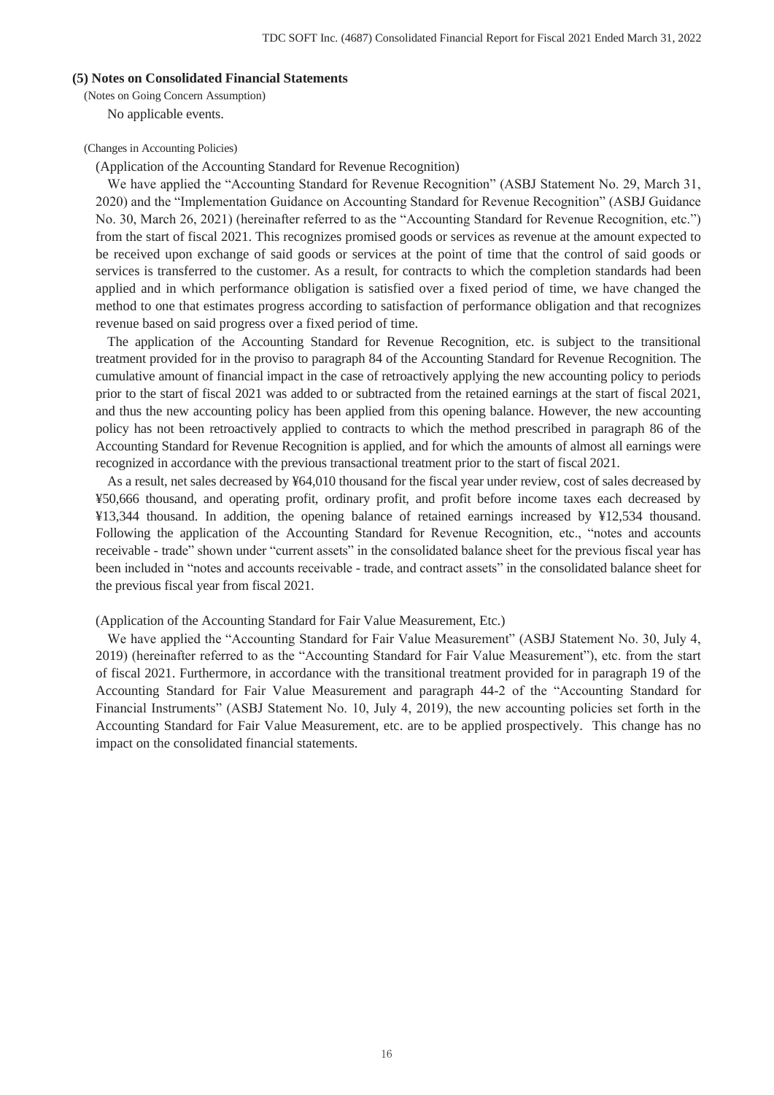### **(5) Notes on Consolidated Financial Statements**

(Notes on Going Concern Assumption)

No applicable events.

#### (Changes in Accounting Policies)

(Application of the Accounting Standard for Revenue Recognition)

We have applied the "Accounting Standard for Revenue Recognition" (ASBJ Statement No. 29, March 31, 2020) and the "Implementation Guidance on Accounting Standard for Revenue Recognition" (ASBJ Guidance No. 30, March 26, 2021) (hereinafter referred to as the "Accounting Standard for Revenue Recognition, etc.") from the start of fiscal 2021. This recognizes promised goods or services as revenue at the amount expected to be received upon exchange of said goods or services at the point of time that the control of said goods or services is transferred to the customer. As a result, for contracts to which the completion standards had been applied and in which performance obligation is satisfied over a fixed period of time, we have changed the method to one that estimates progress according to satisfaction of performance obligation and that recognizes revenue based on said progress over a fixed period of time.

The application of the Accounting Standard for Revenue Recognition, etc. is subject to the transitional treatment provided for in the proviso to paragraph 84 of the Accounting Standard for Revenue Recognition. The cumulative amount of financial impact in the case of retroactively applying the new accounting policy to periods prior to the start of fiscal 2021 was added to or subtracted from the retained earnings at the start of fiscal 2021, and thus the new accounting policy has been applied from this opening balance. However, the new accounting policy has not been retroactively applied to contracts to which the method prescribed in paragraph 86 of the Accounting Standard for Revenue Recognition is applied, and for which the amounts of almost all earnings were recognized in accordance with the previous transactional treatment prior to the start of fiscal 2021.

As a result, net sales decreased by ¥64,010 thousand for the fiscal year under review, cost of sales decreased by ¥50,666 thousand, and operating profit, ordinary profit, and profit before income taxes each decreased by ¥13,344 thousand. In addition, the opening balance of retained earnings increased by ¥12,534 thousand. Following the application of the Accounting Standard for Revenue Recognition, etc., "notes and accounts receivable - trade" shown under "current assets" in the consolidated balance sheet for the previous fiscal year has been included in "notes and accounts receivable - trade, and contract assets" in the consolidated balance sheet for the previous fiscal year from fiscal 2021.

(Application of the Accounting Standard for Fair Value Measurement, Etc.)

We have applied the "Accounting Standard for Fair Value Measurement" (ASBJ Statement No. 30, July 4, 2019) (hereinafter referred to as the "Accounting Standard for Fair Value Measurement"), etc. from the start of fiscal 2021. Furthermore, in accordance with the transitional treatment provided for in paragraph 19 of the Accounting Standard for Fair Value Measurement and paragraph 44-2 of the "Accounting Standard for Financial Instruments" (ASBJ Statement No. 10, July 4, 2019), the new accounting policies set forth in the Accounting Standard for Fair Value Measurement, etc. are to be applied prospectively. This change has no impact on the consolidated financial statements.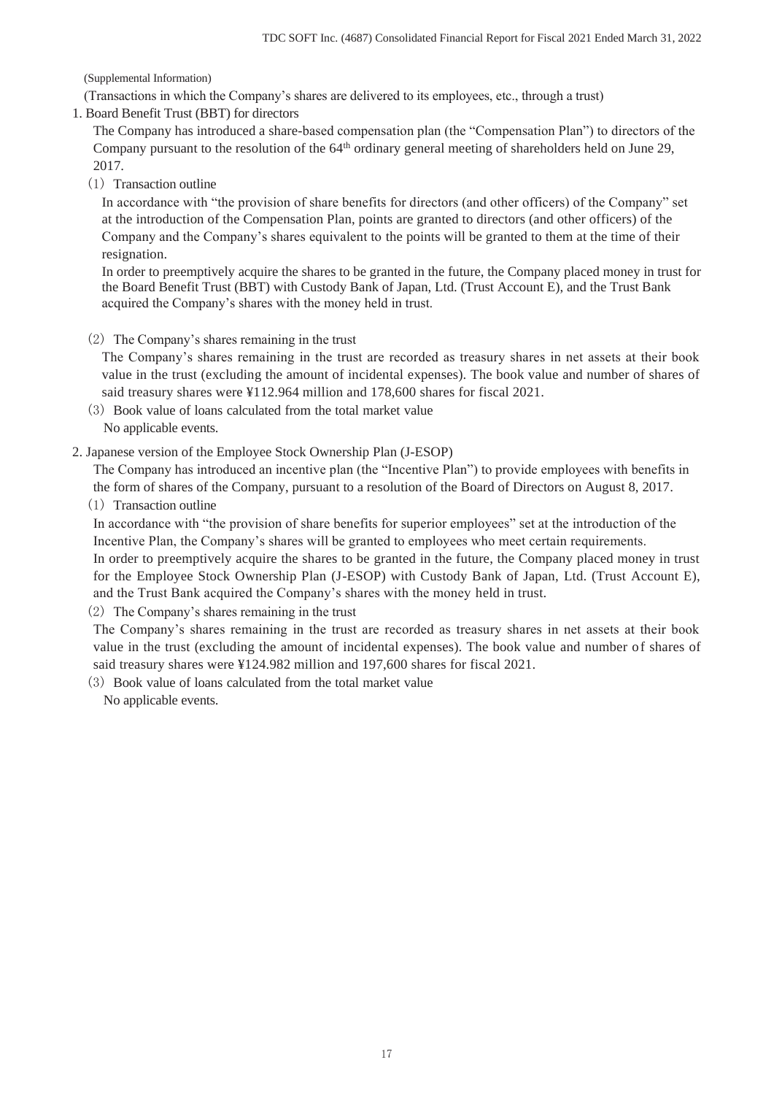(Supplemental Information)

(Transactions in which the Company's shares are delivered to its employees, etc., through a trust)

1. Board Benefit Trust (BBT) for directors

The Company has introduced a share-based compensation plan (the "Compensation Plan") to directors of the Company pursuant to the resolution of the 64<sup>th</sup> ordinary general meeting of shareholders held on June 29, 2017.

(1) Transaction outline

In accordance with "the provision of share benefits for directors (and other officers) of the Company" set at the introduction of the Compensation Plan, points are granted to directors (and other officers) of the Company and the Company's shares equivalent to the points will be granted to them at the time of their resignation.

In order to preemptively acquire the shares to be granted in the future, the Company placed money in trust for the Board Benefit Trust (BBT) with Custody Bank of Japan, Ltd. (Trust Account E), and the Trust Bank acquired the Company's shares with the money held in trust.

## (2) The Company's shares remaining in the trust

The Company's shares remaining in the trust are recorded as treasury shares in net assets at their book value in the trust (excluding the amount of incidental expenses). The book value and number of shares of said treasury shares were ¥112.964 million and 178,600 shares for fiscal 2021.

- (3) Book value of loans calculated from the total market value No applicable events.
- 2. Japanese version of the Employee Stock Ownership Plan (J-ESOP)

The Company has introduced an incentive plan (the "Incentive Plan") to provide employees with benefits in the form of shares of the Company, pursuant to a resolution of the Board of Directors on August 8, 2017.

(1) Transaction outline

In accordance with "the provision of share benefits for superior employees" set at the introduction of the Incentive Plan, the Company's shares will be granted to employees who meet certain requirements. In order to preemptively acquire the shares to be granted in the future, the Company placed money in trust for the Employee Stock Ownership Plan (J-ESOP) with Custody Bank of Japan, Ltd. (Trust Account E), and the Trust Bank acquired the Company's shares with the money held in trust.

(2) The Company's shares remaining in the trust

The Company's shares remaining in the trust are recorded as treasury shares in net assets at their book value in the trust (excluding the amount of incidental expenses). The book value and number of shares of said treasury shares were ¥124.982 million and 197,600 shares for fiscal 2021.

(3) Book value of loans calculated from the total market value No applicable events.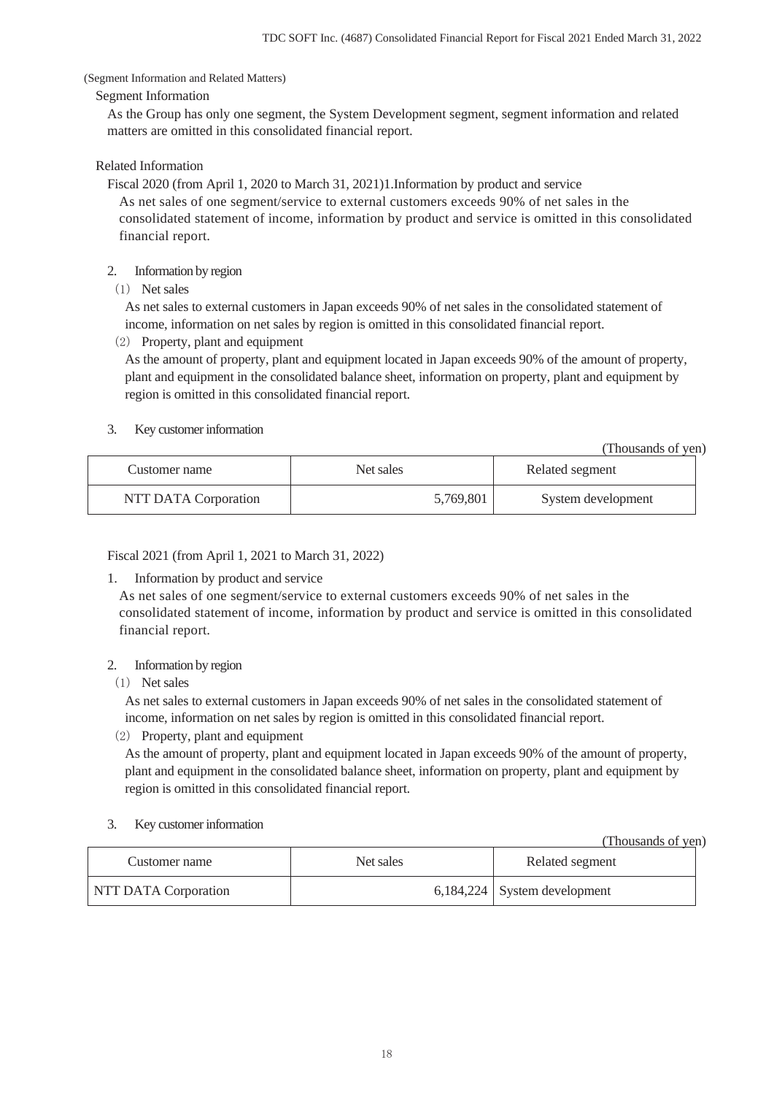### (Segment Information and Related Matters)

### Segment Information

As the Group has only one segment, the System Development segment, segment information and related matters are omitted in this consolidated financial report.

## Related Information

Fiscal 2020 (from April 1, 2020 to March 31, 2021)1.Information by product and service As net sales of one segment/service to external customers exceeds 90% of net sales in the consolidated statement of income, information by product and service is omitted in this consolidated financial report.

## 2. Information by region

(1) Net sales

As net sales to external customers in Japan exceeds 90% of net sales in the consolidated statement of income, information on net sales by region is omitted in this consolidated financial report.

(2) Property, plant and equipment

As the amount of property, plant and equipment located in Japan exceeds 90% of the amount of property, plant and equipment in the consolidated balance sheet, information on property, plant and equipment by region is omitted in this consolidated financial report.

## 3. Key customer information

(Thousands of yen)

| Customer name        | Net sales | Related segment    |
|----------------------|-----------|--------------------|
| NTT DATA Corporation | 5,769,801 | System development |

Fiscal 2021 (from April 1, 2021 to March 31, 2022)

1. Information by product and service

As net sales of one segment/service to external customers exceeds 90% of net sales in the consolidated statement of income, information by product and service is omitted in this consolidated financial report.

## 2. Information by region

(1) Net sales

As net sales to external customers in Japan exceeds 90% of net sales in the consolidated statement of income, information on net sales by region is omitted in this consolidated financial report.

(2) Property, plant and equipment

As the amount of property, plant and equipment located in Japan exceeds 90% of the amount of property, plant and equipment in the consolidated balance sheet, information on property, plant and equipment by region is omitted in this consolidated financial report.

### 3. Key customer information

|                             |           | (Thousands of yen)             |
|-----------------------------|-----------|--------------------------------|
| Customer name               | Net sales | Related segment                |
| <b>NTT DATA Corporation</b> |           | $6,184,224$ System development |